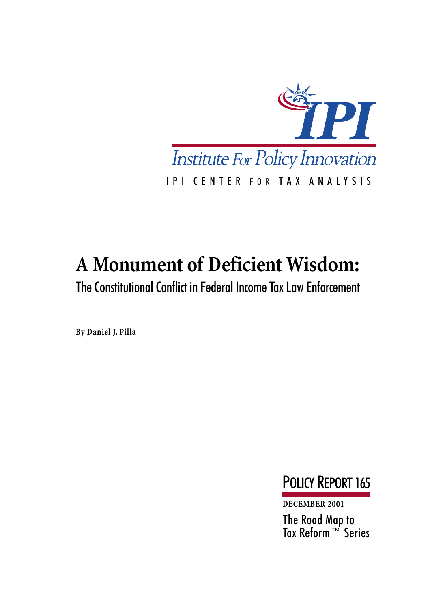

# **A Monument of Deficient Wisdom:**

The Constitutional Conflict in Federal Income Tax Law Enforcement

**By Daniel J. Pilla**

POLICY REPORT 165

**DECEMBER 2001**

The Road Map to Tax Reform™ Series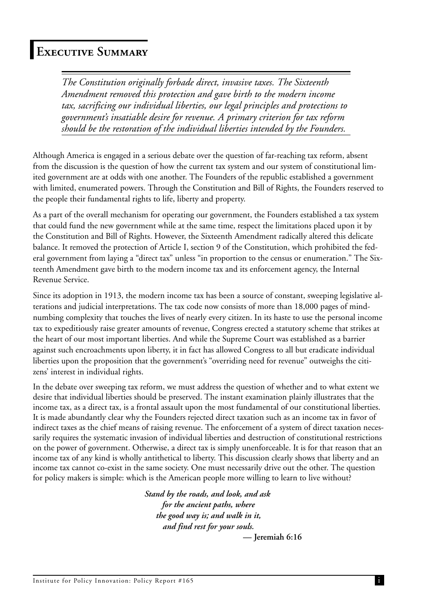## **Executive Summary**

*The Constitution originally forbade direct, invasive taxes. The Sixteenth Amendment removed this protection and gave birth to the modern income tax, sacrificing our individual liberties, our legal principles and protections to government's insatiable desire for revenue. A primary criterion for tax reform should be the restoration of the individual liberties intended by the Founders.*

Although America is engaged in a serious debate over the question of far-reaching tax reform, absent from the discussion is the question of how the current tax system and our system of constitutional limited government are at odds with one another. The Founders of the republic established a government with limited, enumerated powers. Through the Constitution and Bill of Rights, the Founders reserved to the people their fundamental rights to life, liberty and property.

As a part of the overall mechanism for operating our government, the Founders established a tax system that could fund the new government while at the same time, respect the limitations placed upon it by the Constitution and Bill of Rights. However, the Sixteenth Amendment radically altered this delicate balance. It removed the protection of Article I, section 9 of the Constitution, which prohibited the federal government from laying a "direct tax" unless "in proportion to the census or enumeration." The Sixteenth Amendment gave birth to the modern income tax and its enforcement agency, the Internal Revenue Service.

Since its adoption in 1913, the modern income tax has been a source of constant, sweeping legislative alterations and judicial interpretations. The tax code now consists of more than 18,000 pages of mindnumbing complexity that touches the lives of nearly every citizen. In its haste to use the personal income tax to expeditiously raise greater amounts of revenue, Congress erected a statutory scheme that strikes at the heart of our most important liberties. And while the Supreme Court was established as a barrier against such encroachments upon liberty, it in fact has allowed Congress to all but eradicate individual liberties upon the proposition that the government's "overriding need for revenue" outweighs the citizens' interest in individual rights.

In the debate over sweeping tax reform, we must address the question of whether and to what extent we desire that individual liberties should be preserved. The instant examination plainly illustrates that the income tax, as a direct tax, is a frontal assault upon the most fundamental of our constitutional liberties. It is made abundantly clear why the Founders rejected direct taxation such as an income tax in favor of indirect taxes as the chief means of raising revenue. The enforcement of a system of direct taxation necessarily requires the systematic invasion of individual liberties and destruction of constitutional restrictions on the power of government. Otherwise, a direct tax is simply unenforceable. It is for that reason that an income tax of any kind is wholly antithetical to liberty. This discussion clearly shows that liberty and an income tax cannot co-exist in the same society. One must necessarily drive out the other. The question for policy makers is simple: which is the American people more willing to learn to live without?

> *Stand by the roads, and look, and ask for the ancient paths, where the good way is; and walk in it, and find rest for your souls.* **— Jeremiah 6:16**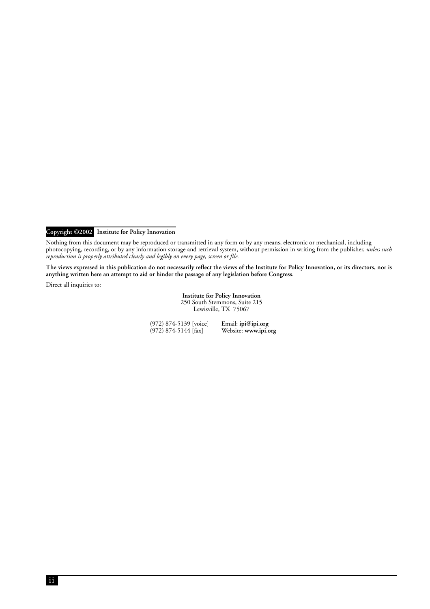**Copyright ©2002 Institute for Policy Innovation**

Nothing from this document may be reproduced or transmitted in any form or by any means, electronic or mechanical, including photocopying, recording, or by any information storage and retrieval system, without permission in writing from the publisher, *unless such reproduction is properly attributed clearly and legibly on every page, screen or file.*

**The views expressed in this publication do not necessarily reflect the views of the Institute for Policy Innovation, or its directors, nor is anything written here an attempt to aid or hinder the passage of any legislation before Congress.**

Direct all inquiries to:

**Institute for Policy Innovation** 250 South Stemmons, Suite 215 Lewisville, TX 75067

(972) 874-5139 [voice]  $(972)$  874-5144 [fax] Email: **ipi@ipi.org** Website: **www.ipi.org**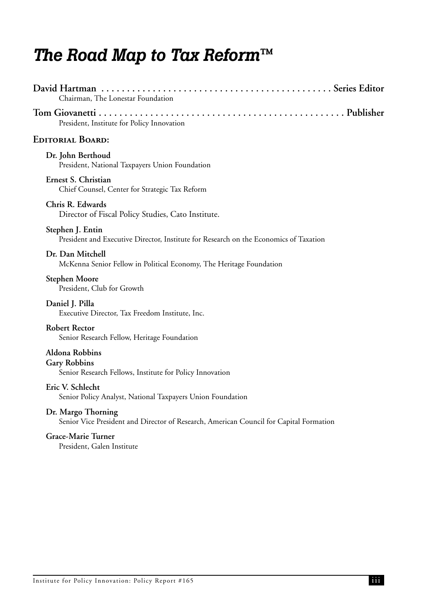## *The Road Map to Tax Reform™*

| Chairman, The Lonestar Foundation                                                                            |
|--------------------------------------------------------------------------------------------------------------|
| President, Institute for Policy Innovation                                                                   |
| <b>EDITORIAL BOARD:</b>                                                                                      |
| Dr. John Berthoud<br>President, National Taxpayers Union Foundation                                          |
| Ernest S. Christian<br>Chief Counsel, Center for Strategic Tax Reform                                        |
| Chris R. Edwards<br>Director of Fiscal Policy Studies, Cato Institute.                                       |
| Stephen J. Entin<br>President and Executive Director, Institute for Research on the Economics of Taxation    |
| Dr. Dan Mitchell<br>McKenna Senior Fellow in Political Economy, The Heritage Foundation                      |
| <b>Stephen Moore</b><br>President, Club for Growth                                                           |
| Daniel J. Pilla<br>Executive Director, Tax Freedom Institute, Inc.                                           |
| <b>Robert Rector</b><br>Senior Research Fellow, Heritage Foundation                                          |
| <b>Aldona Robbins</b><br><b>Gary Robbins</b><br>Senior Research Fellows, Institute for Policy Innovation     |
| Eric V. Schlecht<br>Senior Policy Analyst, National Taxpayers Union Foundation                               |
| Dr. Margo Thorning<br>Senior Vice President and Director of Research, American Council for Capital Formation |
| Grace-Marie Turner<br>President, Galen Institute                                                             |
|                                                                                                              |
|                                                                                                              |
|                                                                                                              |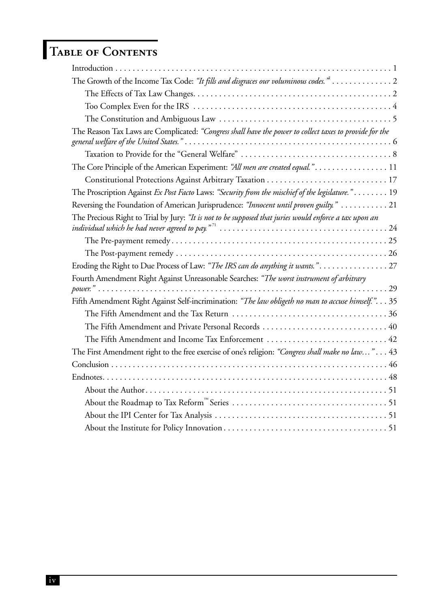## **Table of Contents**

| The Growth of the Income Tax Code: "It fills and disgraces our voluminous codes." 2                                                                                                                                                                 |
|-----------------------------------------------------------------------------------------------------------------------------------------------------------------------------------------------------------------------------------------------------|
|                                                                                                                                                                                                                                                     |
|                                                                                                                                                                                                                                                     |
|                                                                                                                                                                                                                                                     |
| The Reason Tax Laws are Complicated: "Congress shall have the power to collect taxes to provide for the                                                                                                                                             |
|                                                                                                                                                                                                                                                     |
| The Core Principle of the American Experiment: "All men are created equal.". 11                                                                                                                                                                     |
|                                                                                                                                                                                                                                                     |
| The Proscription Against Ex Post Facto Laws: "Security from the mischief of the legislature." 19                                                                                                                                                    |
| Reversing the Foundation of American Jurisprudence: "Innocent until proven guilty."  21                                                                                                                                                             |
| The Precious Right to Trial by Jury: "It is not to be supposed that juries would enforce a tax upon an<br>individual which he had never agreed to pay." <sup>71</sup> $\dots\dots\dots\dots\dots\dots\dots\dots\dots\dots\dots\dots\dots\dots\dots$ |
|                                                                                                                                                                                                                                                     |
|                                                                                                                                                                                                                                                     |
| Eroding the Right to Due Process of Law: "The IRS can do anything it wants." 27                                                                                                                                                                     |
| Fourth Amendment Right Against Unreasonable Searches: "The worst instrument of arbitrary                                                                                                                                                            |
| Fifth Amendment Right Against Self-incrimination: "The law obligeth no man to accuse himself.". 35                                                                                                                                                  |
|                                                                                                                                                                                                                                                     |
|                                                                                                                                                                                                                                                     |
| The Fifth Amendment and Income Tax Enforcement  42                                                                                                                                                                                                  |
| The First Amendment right to the free exercise of one's religion: "Congress shall make no law" 43                                                                                                                                                   |
|                                                                                                                                                                                                                                                     |
|                                                                                                                                                                                                                                                     |
|                                                                                                                                                                                                                                                     |
|                                                                                                                                                                                                                                                     |
|                                                                                                                                                                                                                                                     |
|                                                                                                                                                                                                                                                     |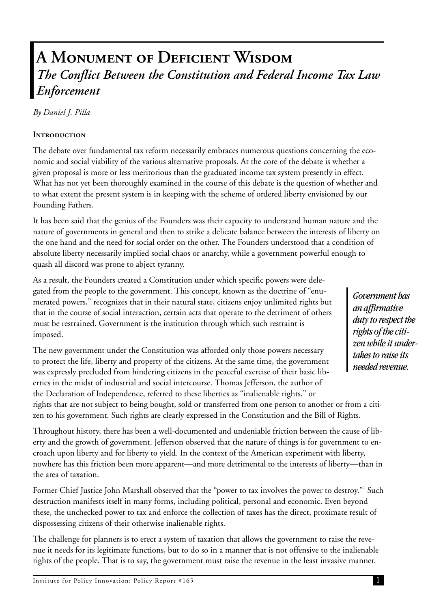## **A Monument of Deficient Wisdom** *The Conflict Between the Constitution and Federal Income Tax Law Enforcement*

*By Daniel J. Pilla*

#### **Introduction**

The debate over fundamental tax reform necessarily embraces numerous questions concerning the economic and social viability of the various alternative proposals. At the core of the debate is whether a given proposal is more or less meritorious than the graduated income tax system presently in effect. What has not yet been thoroughly examined in the course of this debate is the question of whether and to what extent the present system is in keeping with the scheme of ordered liberty envisioned by our Founding Fathers.

It has been said that the genius of the Founders was their capacity to understand human nature and the nature of governments in general and then to strike a delicate balance between the interests of liberty on the one hand and the need for social order on the other. The Founders understood that a condition of absolute liberty necessarily implied social chaos or anarchy, while a government powerful enough to quash all discord was prone to abject tyranny.

As a result, the Founders created a Constitution under which specific powers were delegated from the people to the government. This concept, known as the doctrine of "enumerated powers," recognizes that in their natural state, citizens enjoy unlimited rights but that in the course of social interaction, certain acts that operate to the detriment of others must be restrained. Government is the institution through which such restraint is imposed.

The new government under the Constitution was afforded only those powers necessary to protect the life, liberty and property of the citizens. At the same time, the government was expressly precluded from hindering citizens in the peaceful exercise of their basic liberties in the midst of industrial and social intercourse. Thomas Jefferson, the author of the Declaration of Independence, referred to these liberties as "inalienable rights," or rights that are not subject to being bought, sold or transferred from one person to another or from a citizen to his government. Such rights are clearly expressed in the Constitution and the Bill of Rights.

Throughout history, there has been a well-documented and undeniable friction between the cause of liberty and the growth of government. Jefferson observed that the nature of things is for government to encroach upon liberty and for liberty to yield. In the context of the American experiment with liberty, nowhere has this friction been more apparent—and more detrimental to the interests of liberty—than in the area of taxation.

Former Chief Justice John Marshall observed that the "power to tax involves the power to destroy."<sup>1</sup> Such destruction manifests itself in many forms, including political, personal and economic. Even beyond these, the unchecked power to tax and enforce the collection of taxes has the direct, proximate result of dispossessing citizens of their otherwise inalienable rights.

The challenge for planners is to erect a system of taxation that allows the government to raise the revenue it needs for its legitimate functions, but to do so in a manner that is not offensive to the inalienable rights of the people. That is to say, the government must raise the revenue in the least invasive manner.

*Government has an affirmative duty to respect the rights of the citizen while it undertakes to raise its needed revenue.*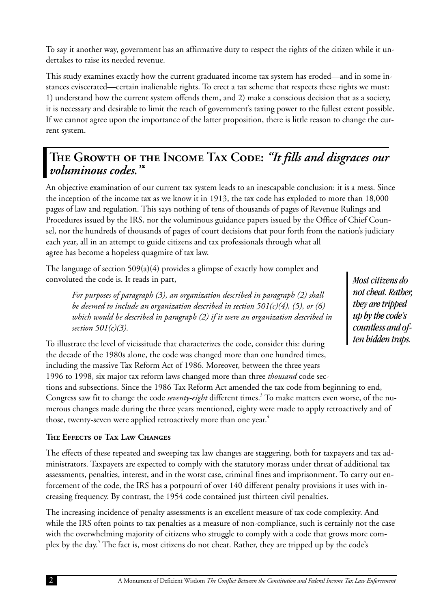To say it another way, government has an affirmative duty to respect the rights of the citizen while it undertakes to raise its needed revenue.

This study examines exactly how the current graduated income tax system has eroded—and in some instances eviscerated—certain inalienable rights. To erect a tax scheme that respects these rights we must: 1) understand how the current system offends them, and 2) make a conscious decision that as a society, it is necessary and desirable to limit the reach of government's taxing power to the fullest extent possible. If we cannot agree upon the importance of the latter proposition, there is little reason to change the current system.

## THE GROWTH OF THE INCOME TAX CODE: *"It fills and disgraces our voluminous codes."***<sup>2</sup>**

An objective examination of our current tax system leads to an inescapable conclusion: it is a mess. Since the inception of the income tax as we know it in 1913, the tax code has exploded to more than 18,000 pages of law and regulation. This says nothing of tens of thousands of pages of Revenue Rulings and Procedures issued by the IRS, nor the voluminous guidance papers issued by the Office of Chief Counsel, nor the hundreds of thousands of pages of court decisions that pour forth from the nation's judiciary each year, all in an attempt to guide citizens and tax professionals through what all agree has become a hopeless quagmire of tax law.

The language of section  $509(a)(4)$  provides a glimpse of exactly how complex and convoluted the code is. It reads in part,

*For purposes of paragraph (3), an organization described in paragraph (2) shall be deemed to include an organization described in section 501(c)(4), (5), or (6) which would be described in paragraph (2) if it were an organization described in section 501(c)(3).*

To illustrate the level of vicissitude that characterizes the code, consider this: during the decade of the 1980s alone, the code was changed more than one hundred times, including the massive Tax Reform Act of 1986. Moreover, between the three years 1996 to 1998, six major tax reform laws changed more than three *thousand* code sections and subsections. Since the 1986 Tax Reform Act amended the tax code from beginning to end, Congress saw fit to change the code *seventy-eight* different times.<sup>3</sup> To make matters even worse, of the numerous changes made during the three years mentioned, eighty were made to apply retroactively and of those, twenty-seven were applied retroactively more than one year.<sup>4</sup>

#### **The Effects of Tax Law Changes**

The effects of these repeated and sweeping tax law changes are staggering, both for taxpayers and tax administrators. Taxpayers are expected to comply with the statutory morass under threat of additional tax assessments, penalties, interest, and in the worst case, criminal fines and imprisonment. To carry out enforcement of the code, the IRS has a potpourri of over 140 different penalty provisions it uses with increasing frequency. By contrast, the 1954 code contained just thirteen civil penalties.

The increasing incidence of penalty assessments is an excellent measure of tax code complexity. And while the IRS often points to tax penalties as a measure of non-compliance, such is certainly not the case with the overwhelming majority of citizens who struggle to comply with a code that grows more complex by the day.<sup>5</sup> The fact is, most citizens do not cheat. Rather, they are tripped up by the code's

*Most citizens do not cheat. Rather, they are tripped up by the code's countless and often hidden traps.*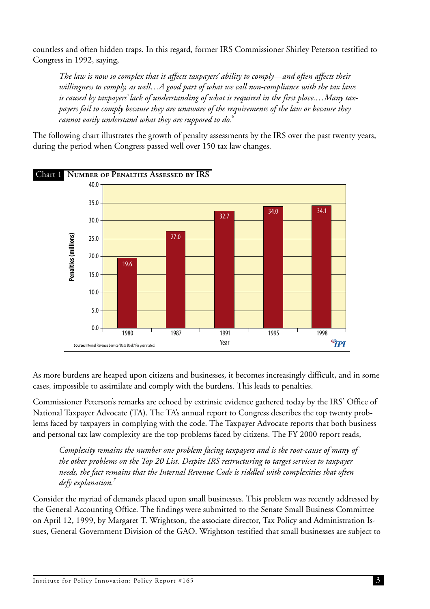<span id="page-7-0"></span>countless and often hidden traps. In this regard, former IRS Commissioner Shirley Peterson testified to Congress in 1992, saying,

*The law is now so complex that it affects taxpayers' ability to comply—and often affects their willingness to comply, as well…A good part of what we call non-compliance with the tax laws is caused by taxpayers' lack of understanding of what is required in the first place.…Many taxpayers fail to comply because they are unaware of the requirements of the law or because they cannot easily understand what they are supposed to do.<sup>6</sup>*

The following chart illustrates the growth of penalty assessments by the IRS over the past twenty years, during the period when Congress passed well over 150 tax law changes.



As more burdens are heaped upon citizens and businesses, it becomes increasingly difficult, and in some cases, impossible to assimilate and comply with the burdens. This leads to penalties.

Commissioner Peterson's remarks are echoed by extrinsic evidence gathered today by the IRS' Office of National Taxpayer Advocate (TA). The TA's annual report to Congress describes the top twenty problems faced by taxpayers in complying with the code. The Taxpayer Advocate reports that both business and personal tax law complexity are the top problems faced by citizens. The FY 2000 report reads,

*Complexity remains the number one problem facing taxpayers and is the root-cause of many of the other problems on the Top 20 List. Despite IRS restructuring to target services to taxpayer needs, the fact remains that the Internal Revenue Code is riddled with complexities that often defy explanation.<sup>7</sup>*

Consider the myriad of demands placed upon small businesses. This problem was recently addressed by the General Accounting Office. The findings were submitted to the Senate Small Business Committee on April 12, 1999, by Margaret T. Wrightson, the associate director, Tax Policy and Administration Issues, General Government Division of the GAO. Wrightson testified that small businesses are subject to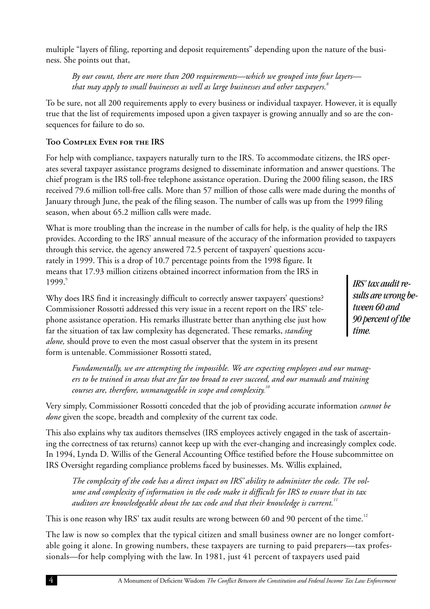<span id="page-8-0"></span>multiple "layers of filing, reporting and deposit requirements" depending upon the nature of the business. She points out that,

*By our count, there are more than 200 requirements—which we grouped into four layers that may apply to small businesses as well as large businesses and other taxpayers.<sup>8</sup>*

To be sure, not all 200 requirements apply to every business or individual taxpayer. However, it is equally true that the list of requirements imposed upon a given taxpayer is growing annually and so are the consequences for failure to do so.

#### **Too Complex Even for the IRS**

For help with compliance, taxpayers naturally turn to the IRS. To accommodate citizens, the IRS operates several taxpayer assistance programs designed to disseminate information and answer questions. The chief program is the IRS toll-free telephone assistance operation. During the 2000 filing season, the IRS received 79.6 million toll-free calls. More than 57 million of those calls were made during the months of January through June, the peak of the filing season. The number of calls was up from the 1999 filing season, when about 65.2 million calls were made.

What is more troubling than the increase in the number of calls for help, is the quality of help the IRS provides. According to the IRS' annual measure of the accuracy of the information provided to taxpayers through this service, the agency answered 72.5 percent of taxpayers' questions accurately in 1999. This is a drop of 10.7 percentage points from the 1998 figure. It means that 17.93 million citizens obtained incorrect information from the IRS in 1999.9

Why does IRS find it increasingly difficult to correctly answer taxpayers' questions? Commissioner Rossotti addressed this very issue in a recent report on the IRS' telephone assistance operation. His remarks illustrate better than anything else just how far the situation of tax law complexity has degenerated. These remarks, *standing alone,* should prove to even the most casual observer that the system in its present form is untenable. Commissioner Rossotti stated,

*Fundamentally, we are attempting the impossible. We are expecting employees and our manag-*

*ers to be trained in areas that are far too broad to ever succeed, and our manuals and training courses are, therefore, unmanageable in scope and complexity.<sup>10</sup>*

Very simply, Commissioner Rossotti conceded that the job of providing accurate information *cannot be done* given the scope, breadth and complexity of the current tax code.

This also explains why tax auditors themselves (IRS employees actively engaged in the task of ascertaining the correctness of tax returns) cannot keep up with the ever-changing and increasingly complex code. In 1994, Lynda D. Willis of the General Accounting Office testified before the House subcommittee on IRS Oversight regarding compliance problems faced by businesses. Ms. Willis explained,

*The complexity of the code has a direct impact on IRS' ability to administer the code. The volume and complexity of information in the code make it difficult for IRS to ensure that its tax auditors are knowledgeable about the tax code and that their knowledge is current.<sup>11</sup>*

This is one reason why IRS' tax audit results are wrong between 60 and 90 percent of the time.<sup>12</sup>

The law is now so complex that the typical citizen and small business owner are no longer comfortable going it alone. In growing numbers, these taxpayers are turning to paid preparers—tax professionals—for help complying with the law. In 1981, just 41 percent of taxpayers used paid

*IRS' tax audit results are wrong between 60 and 90 percent of the time.*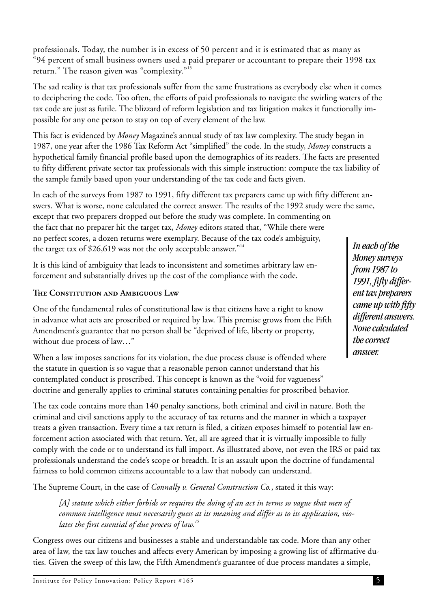professionals. Today, the number is in excess of 50 percent and it is estimated that as many as "94 percent of small business owners used a paid preparer or accountant to prepare their 1998 tax return." The reason given was "complexity."<sup>13</sup>

The sad reality is that tax professionals suffer from the same frustrations as everybody else when it comes to deciphering the code. Too often, the efforts of paid professionals to navigate the swirling waters of the tax code are just as futile. The blizzard of reform legislation and tax litigation makes it functionally impossible for any one person to stay on top of every element of the law.

This fact is evidenced by *Money* Magazine's annual study of tax law complexity. The study began in 1987, one year after the 1986 Tax Reform Act "simplified" the code. In the study, *Money* constructs a hypothetical family financial profile based upon the demographics of its readers. The facts are presented to fifty different private sector tax professionals with this simple instruction: compute the tax liability of the sample family based upon your understanding of the tax code and facts given.

In each of the surveys from 1987 to 1991, fifty different tax preparers came up with fifty different answers. What is worse, none calculated the correct answer. The results of the 1992 study were the same, except that two preparers dropped out before the study was complete. In commenting on the fact that no preparer hit the target tax, *Money* editors stated that, "While there were no perfect scores, a dozen returns were exemplary. Because of the tax code's ambiguity, the target tax of \$26,619 was not the only acceptable answer."<sup>14</sup>

It is this kind of ambiguity that leads to inconsistent and sometimes arbitrary law enforcement and substantially drives up the cost of the compliance with the code.

#### **The Constitution and Ambiguous Law**

One of the fundamental rules of constitutional law is that citizens have a right to know in advance what acts are proscribed or required by law. This premise grows from the Fifth Amendment's guarantee that no person shall be "deprived of life, liberty or property, without due process of law…"

When a law imposes sanctions for its violation, the due process clause is offended where the statute in question is so vague that a reasonable person cannot understand that his contemplated conduct is proscribed. This concept is known as the "void for vagueness" doctrine and generally applies to criminal statutes containing penalties for proscribed behavior.

The tax code contains more than 140 penalty sanctions, both criminal and civil in nature. Both the criminal and civil sanctions apply to the accuracy of tax returns and the manner in which a taxpayer treats a given transaction. Every time a tax return is filed, a citizen exposes himself to potential law enforcement action associated with that return. Yet, all are agreed that it is virtually impossible to fully comply with the code or to understand its full import. As illustrated above, not even the IRS or paid tax professionals understand the code's scope or breadth. It is an assault upon the doctrine of fundamental fairness to hold common citizens accountable to a law that nobody can understand.

The Supreme Court, in the case of *Connally v. General Construction Co.*, stated it this way:

*[A] statute which either forbids or requires the doing of an act in terms so vague that men of common intelligence must necessarily guess at its meaning and differ as to its application, violates the first essential of due process of law.<sup>15</sup>*

Congress owes our citizens and businesses a stable and understandable tax code. More than any other area of law, the tax law touches and affects every American by imposing a growing list of affirmative duties. Given the sweep of this law, the Fifth Amendment's guarantee of due process mandates a simple,

Institute for Policy Innovation: Policy Report #165

*In each of the Money surveys from 1987 to 1991, fifty different tax preparers came up with fifty different answers. None calculated the correct answer.*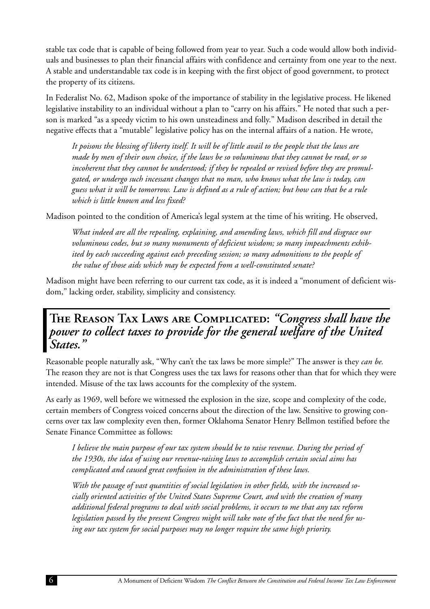<span id="page-10-0"></span>stable tax code that is capable of being followed from year to year. Such a code would allow both individuals and businesses to plan their financial affairs with confidence and certainty from one year to the next. A stable and understandable tax code is in keeping with the first object of good government, to protect the property of its citizens.

In Federalist No. 62, Madison spoke of the importance of stability in the legislative process. He likened legislative instability to an individual without a plan to "carry on his affairs." He noted that such a person is marked "as a speedy victim to his own unsteadiness and folly." Madison described in detail the negative effects that a "mutable" legislative policy has on the internal affairs of a nation. He wrote,

*It poisons the blessing of liberty itself. It will be of little avail to the people that the laws are made by men of their own choice, if the laws be so voluminous that they cannot be read, or so incoherent that they cannot be understood; if they be repealed or revised before they are promulgated, or undergo such incessant changes that no man, who knows what the law is today, can guess what it will be tomorrow. Law is defined as a rule of action; but how can that be a rule which is little known and less fixed?*

Madison pointed to the condition of America's legal system at the time of his writing. He observed,

*What indeed are all the repealing, explaining, and amending laws, which fill and disgrace our voluminous codes, but so many monuments of deficient wisdom; so many impeachments exhibited by each succeeding against each preceding session; so many admonitions to the people of the value of those aids which may be expected from a well-constituted senate?*

Madison might have been referring to our current tax code, as it is indeed a "monument of deficient wisdom," lacking order, stability, simplicity and consistency.

**The Reason Tax Laws are Complicated:** *"Congress shall have the power to collect taxes to provide for the general welfare of the United States."*

Reasonable people naturally ask, "Why can't the tax laws be more simple?" The answer is they *can be.* The reason they are not is that Congress uses the tax laws for reasons other than that for which they were intended. Misuse of the tax laws accounts for the complexity of the system.

As early as 1969, well before we witnessed the explosion in the size, scope and complexity of the code, certain members of Congress voiced concerns about the direction of the law. Sensitive to growing concerns over tax law complexity even then, former Oklahoma Senator Henry Bellmon testified before the Senate Finance Committee as follows:

*I believe the main purpose of our tax system should be to raise revenue. During the period of the 1930s, the idea of using our revenue-raising laws to accomplish certain social aims has complicated and caused great confusion in the administration of these laws.*

*With the passage of vast quantities of social legislation in other fields, with the increased socially oriented activities of the United States Supreme Court, and with the creation of many additional federal programs to deal with social problems, it occurs to me that any tax reform legislation passed by the present Congress might will take note of the fact that the need for using our tax system for social purposes may no longer require the same high priority.*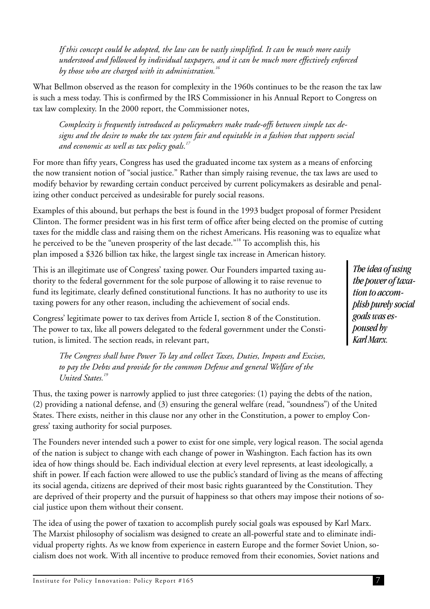<span id="page-11-0"></span>*If this concept could be adopted, the law can be vastly simplified. It can be much more easily understood and followed by individual taxpayers, and it can be much more effectively enforced by those who are charged with its administration.<sup>16</sup>*

What Bellmon observed as the reason for complexity in the 1960s continues to be the reason the tax law is such a mess today. This is confirmed by the IRS Commissioner in his Annual Report to Congress on tax law complexity. In the 2000 report, the Commissioner notes,

*Complexity is frequently introduced as policymakers make trade-offs between simple tax designs and the desire to make the tax system fair and equitable in a fashion that supports social and economic as well as tax policy goals.<sup>17</sup>*

For more than fifty years, Congress has used the graduated income tax system as a means of enforcing the now transient notion of "social justice." Rather than simply raising revenue, the tax laws are used to modify behavior by rewarding certain conduct perceived by current policymakers as desirable and penalizing other conduct perceived as undesirable for purely social reasons.

Examples of this abound, but perhaps the best is found in the 1993 budget proposal of former President Clinton. The former president was in his first term of office after being elected on the promise of cutting taxes for the middle class and raising them on the richest Americans. His reasoning was to equalize what he perceived to be the "uneven prosperity of the last decade."<sup>18</sup> To accomplish this, his plan imposed a \$326 billion tax hike, the largest single tax increase in American history.

This is an illegitimate use of Congress' taxing power. Our Founders imparted taxing authority to the federal government for the sole purpose of allowing it to raise revenue to fund its legitimate, clearly defined constitutional functions. It has no authority to use its taxing powers for any other reason, including the achievement of social ends.

Congress' legitimate power to tax derives from Article I, section 8 of the Constitution. The power to tax, like all powers delegated to the federal government under the Constitution, is limited. The section reads, in relevant part,

*The Congress shall have Power To lay and collect Taxes, Duties, Imposts and Excises, to pay the Debts and provide for the common Defense and general Welfare of the United States.<sup>19</sup>*

Thus, the taxing power is narrowly applied to just three categories: (1) paying the debts of the nation, (2) providing a national defense, and (3) ensuring the general welfare (read, "soundness") of the United States. There exists, neither in this clause nor any other in the Constitution, a power to employ Congress' taxing authority for social purposes.

The Founders never intended such a power to exist for one simple, very logical reason. The social agenda of the nation is subject to change with each change of power in Washington. Each faction has its own idea of how things should be. Each individual election at every level represents, at least ideologically, a shift in power. If each faction were allowed to use the public's standard of living as the means of affecting its social agenda, citizens are deprived of their most basic rights guaranteed by the Constitution. They are deprived of their property and the pursuit of happiness so that others may impose their notions of social justice upon them without their consent.

The idea of using the power of taxation to accomplish purely social goals was espoused by Karl Marx. The Marxist philosophy of socialism was designed to create an all-powerful state and to eliminate individual property rights. As we know from experience in eastern Europe and the former Soviet Union, socialism does not work. With all incentive to produce removed from their economies, Soviet nations and

*The idea of using the power of taxation to accomplish purely social goals was espoused by Karl Marx.*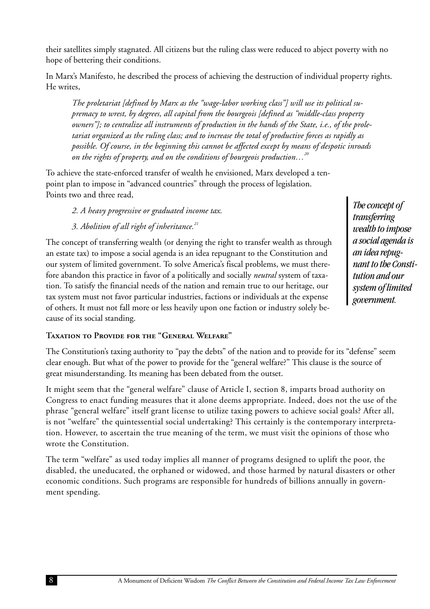<span id="page-12-0"></span>their satellites simply stagnated. All citizens but the ruling class were reduced to abject poverty with no hope of bettering their conditions.

In Marx's Manifesto, he described the process of achieving the destruction of individual property rights. He writes,

*The proletariat [defined by Marx as the "wage-labor working class"] will use its political supremacy to wrest, by degrees, all capital from the bourgeois [defined as "middle-class property owners"]; to centralize all instruments of production in the hands of the State, i.e., of the proletariat organized as the ruling class; and to increase the total of productive forces as rapidly as possible. Of course, in the beginning this cannot be affected except by means of despotic inroads on the rights of property, and on the conditions of bourgeois production…<sup>20</sup>*

To achieve the state-enforced transfer of wealth he envisioned, Marx developed a tenpoint plan to impose in "advanced countries" through the process of legislation. Points two and three read,

*2. A heavy progressive or graduated income tax.*

*3. Abolition of all right of inheritance.<sup>21</sup>*

The concept of transferring wealth (or denying the right to transfer wealth as through an estate tax) to impose a social agenda is an idea repugnant to the Constitution and our system of limited government. To solve America's fiscal problems, we must therefore abandon this practice in favor of a politically and socially *neutral* system of taxation. To satisfy the financial needs of the nation and remain true to our heritage, our tax system must not favor particular industries, factions or individuals at the expense of others. It must not fall more or less heavily upon one faction or industry solely because of its social standing.

#### **Taxation to Provide for the "General Welfare"**

The Constitution's taxing authority to "pay the debts" of the nation and to provide for its "defense" seem clear enough. But what of the power to provide for the "general welfare?" This clause is the source of great misunderstanding. Its meaning has been debated from the outset.

It might seem that the "general welfare" clause of Article I, section 8, imparts broad authority on Congress to enact funding measures that it alone deems appropriate. Indeed, does not the use of the phrase "general welfare" itself grant license to utilize taxing powers to achieve social goals? After all, is not "welfare" the quintessential social undertaking? This certainly is the contemporary interpretation. However, to ascertain the true meaning of the term, we must visit the opinions of those who wrote the Constitution.

The term "welfare" as used today implies all manner of programs designed to uplift the poor, the disabled, the uneducated, the orphaned or widowed, and those harmed by natural disasters or other economic conditions. Such programs are responsible for hundreds of billions annually in government spending.

*The concept of transferring wealth to impose a social agenda is an idea repugnant to the Constitution and our system of limited government.*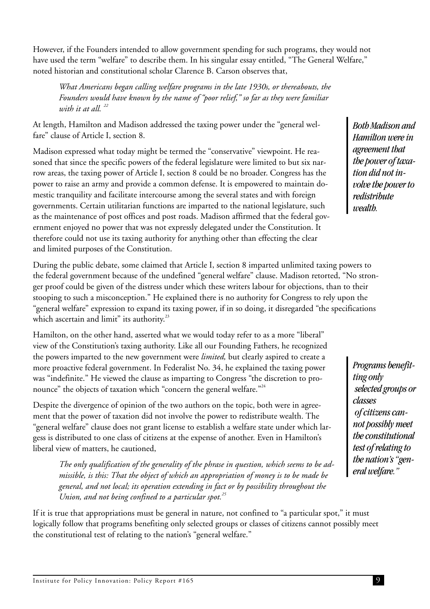However, if the Founders intended to allow government spending for such programs, they would not have used the term "welfare" to describe them. In his singular essay entitled, "The General Welfare," noted historian and constitutional scholar Clarence B. Carson observes that,

*What Americans began calling welfare programs in the late 1930s, or thereabouts, the Founders would have known by the name of "poor relief," so far as they were familiar with it at all. <sup>22</sup>*

At length, Hamilton and Madison addressed the taxing power under the "general welfare" clause of Article I, section 8.

Madison expressed what today might be termed the "conservative" viewpoint. He reasoned that since the specific powers of the federal legislature were limited to but six narrow areas, the taxing power of Article I, section 8 could be no broader. Congress has the power to raise an army and provide a common defense. It is empowered to maintain domestic tranquility and facilitate intercourse among the several states and with foreign governments. Certain utilitarian functions are imparted to the national legislature, such as the maintenance of post offices and post roads. Madison affirmed that the federal government enjoyed no power that was not expressly delegated under the Constitution. It therefore could not use its taxing authority for anything other than effecting the clear and limited purposes of the Constitution.

During the public debate, some claimed that Article I, section 8 imparted unlimited taxing powers to the federal government because of the undefined "general welfare" clause. Madison retorted, "No stronger proof could be given of the distress under which these writers labour for objections, than to their stooping to such a misconception." He explained there is no authority for Congress to rely upon the "general welfare" expression to expand its taxing power, if in so doing, it disregarded "the specifications which ascertain and limit" its authority. $33$ 

Hamilton, on the other hand, asserted what we would today refer to as a more "liberal" view of the Constitution's taxing authority. Like all our Founding Fathers, he recognized the powers imparted to the new government were *limited,* but clearly aspired to create a more proactive federal government. In Federalist No. 34, he explained the taxing power was "indefinite." He viewed the clause as imparting to Congress "the discretion to pronounce" the objects of taxation which "concern the general welfare."<sup>24</sup>

Despite the divergence of opinion of the two authors on the topic, both were in agreement that the power of taxation did not involve the power to redistribute wealth. The "general welfare" clause does not grant license to establish a welfare state under which largess is distributed to one class of citizens at the expense of another. Even in Hamilton's liberal view of matters, he cautioned,

*The only qualification of the generality of the phrase in question, which seems to be admissible, is this: That the object of which an appropriation of money is to be made be general, and not local; its operation extending in fact or by possibility throughout the Union, and not being confined to a particular spot.<sup>25</sup>*

If it is true that appropriations must be general in nature, not confined to "a particular spot," it must logically follow that programs benefiting only selected groups or classes of citizens cannot possibly meet the constitutional test of relating to the nation's "general welfare."

*Both Madison and Hamilton were in agreement that the power of taxation did not involve the power to redistribute wealth.*

*Programs benefitting only selected groups or classes of citizens cannot possibly meet the constitutional test of relating to the nation's "general welfare."*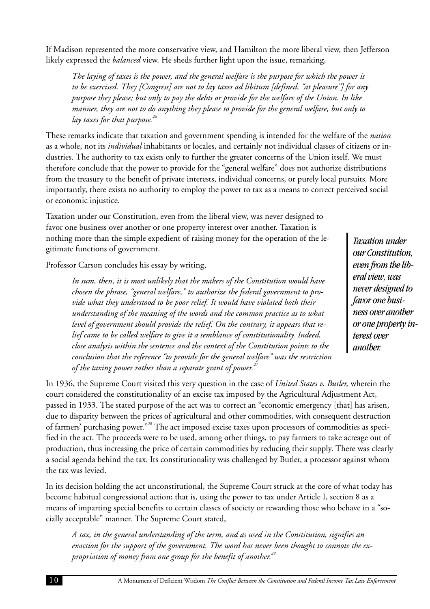<span id="page-14-0"></span>If Madison represented the more conservative view, and Hamilton the more liberal view, then Jefferson likely expressed the *balanced* view. He sheds further light upon the issue, remarking,

*The laying of taxes is the power, and the general welfare is the purpose for which the power is to be exercised. They [Congress] are not to lay taxes ad libitum [defined, "at pleasure"] for any purpose they please; but only to pay the debts or provide for the welfare of the Union. In like manner, they are not to do anything they please to provide for the general welfare, but only to lay taxes for that purpose.<sup>26</sup>*

These remarks indicate that taxation and government spending is intended for the welfare of the *nation* as a whole, not its *individual* inhabitants or locales, and certainly not individual classes of citizens or industries. The authority to tax exists only to further the greater concerns of the Union itself. We must therefore conclude that the power to provide for the "general welfare" does not authorize distributions from the treasury to the benefit of private interests, individual concerns, or purely local pursuits. More importantly, there exists no authority to employ the power to tax as a means to correct perceived social or economic injustice.

Taxation under our Constitution, even from the liberal view, was never designed to favor one business over another or one property interest over another. Taxation is nothing more than the simple expedient of raising money for the operation of the legitimate functions of government.

Professor Carson concludes his essay by writing,

*In sum, then, it is most unlikely that the makers of the Constitution would have chosen the phrase, "general welfare," to authorize the federal government to provide what they understood to be poor relief. It would have violated both their understanding of the meaning of the words and the common practice as to what level of government should provide the relief. On the contrary, it appears that relief came to be called welfare to give it a semblance of constitutionality. Indeed, close analysis within the sentence and the context of the Constitution points to the conclusion that the reference "to provide for the general welfare" was the restriction of the taxing power rather than a separate grant of power.<sup>27</sup>*

*Taxation under our Constitution, even from the liberal view, was never designed to favor one business over another or one property interest over another.*

In 1936, the Supreme Court visited this very question in the case of *United States v. Butler,* wherein the court considered the constitutionality of an excise tax imposed by the Agricultural Adjustment Act, passed in 1933. The stated purpose of the act was to correct an "economic emergency [that] has arisen, due to disparity between the prices of agricultural and other commodities, with consequent destruction of farmers' purchasing power."<sup>28</sup> The act imposed excise taxes upon processors of commodities as specified in the act. The proceeds were to be used, among other things, to pay farmers to take acreage out of production, thus increasing the price of certain commodities by reducing their supply. There was clearly a social agenda behind the tax. Its constitutionality was challenged by Butler, a processor against whom the tax was levied.

In its decision holding the act unconstitutional, the Supreme Court struck at the core of what today has become habitual congressional action; that is, using the power to tax under Article I, section 8 as a means of imparting special benefits to certain classes of society or rewarding those who behave in a "socially acceptable" manner. The Supreme Court stated,

*A tax, in the general understanding of the term, and as used in the Constitution, signifies an exaction for the support of the government. The word has never been thought to connote the expropriation of money from one group for the benefit of another.<sup>29</sup>*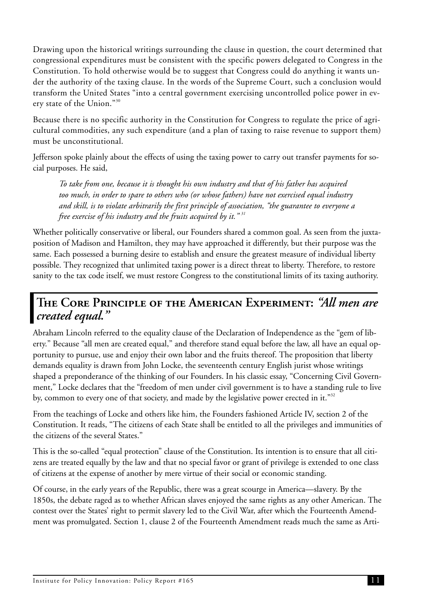Drawing upon the historical writings surrounding the clause in question, the court determined that congressional expenditures must be consistent with the specific powers delegated to Congress in the Constitution. To hold otherwise would be to suggest that Congress could do anything it wants under the authority of the taxing clause. In the words of the Supreme Court, such a conclusion would transform the United States "into a central government exercising uncontrolled police power in every state of the Union."<sup>30</sup>

Because there is no specific authority in the Constitution for Congress to regulate the price of agricultural commodities, any such expenditure (and a plan of taxing to raise revenue to support them) must be unconstitutional.

Jefferson spoke plainly about the effects of using the taxing power to carry out transfer payments for social purposes. He said,

*To take from one, because it is thought his own industry and that of his father has acquired too much, in order to spare to others who (or whose fathers) have not exercised equal industry and skill, is to violate arbitrarily the first principle of association, "the guarantee to everyone a free exercise of his industry and the fruits acquired by it." <sup>31</sup>*

Whether politically conservative or liberal, our Founders shared a common goal. As seen from the juxtaposition of Madison and Hamilton, they may have approached it differently, but their purpose was the same. Each possessed a burning desire to establish and ensure the greatest measure of individual liberty possible. They recognized that unlimited taxing power is a direct threat to liberty. Therefore, to restore sanity to the tax code itself, we must restore Congress to the constitutional limits of its taxing authority.

## **The Core Principle of the American Experiment:** *"All men are created equal."*

Abraham Lincoln referred to the equality clause of the Declaration of Independence as the "gem of liberty." Because "all men are created equal," and therefore stand equal before the law, all have an equal opportunity to pursue, use and enjoy their own labor and the fruits thereof. The proposition that liberty demands equality is drawn from John Locke, the seventeenth century English jurist whose writings shaped a preponderance of the thinking of our Founders. In his classic essay, "Concerning Civil Government," Locke declares that the "freedom of men under civil government is to have a standing rule to live by, common to every one of that society, and made by the legislative power erected in it." $32$ 

From the teachings of Locke and others like him, the Founders fashioned Article IV, section 2 of the Constitution. It reads, "The citizens of each State shall be entitled to all the privileges and immunities of the citizens of the several States."

This is the so-called "equal protection" clause of the Constitution. Its intention is to ensure that all citizens are treated equally by the law and that no special favor or grant of privilege is extended to one class of citizens at the expense of another by mere virtue of their social or economic standing.

Of course, in the early years of the Republic, there was a great scourge in America—slavery. By the 1850s, the debate raged as to whether African slaves enjoyed the same rights as any other American. The contest over the States' right to permit slavery led to the Civil War, after which the Fourteenth Amendment was promulgated. Section 1, clause 2 of the Fourteenth Amendment reads much the same as Arti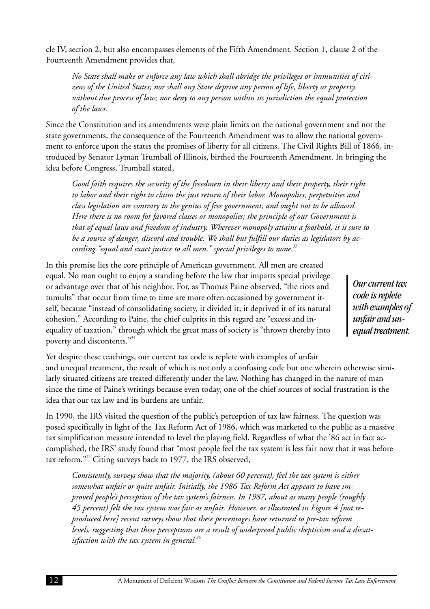cle IV, section 2, but also encompasses elements of the Fifth Amendment. Section 1, clause 2 of the Fourteenth Amendment provides that,

*No State shall make or enforce any law which shall abridge the privileges or immunities of citizens of the United States; nor shall any State deprive any person of life, liberty or property, without due process of law; nor deny to any person within its jurisdiction the equal protection of the laws.*

Since the Constitution and its amendments were plain limits on the national government and not the state governments, the consequence of the Fourteenth Amendment was to allow the national government to enforce upon the states the promises of liberty for all citizens. The Civil Rights Bill of 1866, introduced by Senator Lyman Trumball of Illinois, birthed the Fourteenth Amendment. In bringing the idea before Congress, Trumball stated,

*Good faith requires the security of the freedmen in their liberty and their property, their right to labor and their right to claim the just return of their labor. Monopolies, perpetuities and class legislation are contrary to the genius of free government, and ought not to be allowed. Here there is no room for favored classes or monopolies; the principle of our Government is that of equal laws and freedom of industry. Wherever monopoly attains a foothold, it is sure to be a source of danger, discord and trouble. We shall but fulfill our duties as legislators by according "equal and exact justice to all men," special privileges to none.<sup>33</sup>*

In this premise lies the core principle of American government. All men are created equal. No man ought to enjoy a standing before the law that imparts special privilege or advantage over that of his neighbor. For, as Thomas Paine observed, "the riots and tumults" that occur from time to time are more often occasioned by government itself, because "instead of consolidating society, it divided it; it deprived it of its natural cohesion." According to Paine, the chief culprits in this regard are "excess and inequality of taxation," through which the great mass of society is "thrown thereby into poverty and discontents."<sup>34</sup>

*Our current tax code is replete with examples of unfair and unequal treatment.*

Yet despite these teachings, our current tax code is replete with examples of unfair and unequal treatment, the result of which is not only a confusing code but one wherein otherwise similarly situated citizens are treated differently under the law. Nothing has changed in the nature of man since the time of Paine's writings because even today, one of the chief sources of social frustration is the idea that our tax law and its burdens are unfair.

In 1990, the IRS visited the question of the public's perception of tax law fairness. The question was posed specifically in light of the Tax Reform Act of 1986, which was marketed to the public as a massive tax simplification measure intended to level the playing field. Regardless of what the '86 act in fact accomplished, the IRS' study found that "most people feel the tax system is less fair now that it was before tax reform."<sup>35</sup> Citing surveys back to 1977, the IRS observed,

*Consistently, surveys show that the majority, (about 60 percent), feel the tax system is either somewhat unfair or quite unfair. Initially, the 1986 Tax Reform Act appears to have improved people's perception of the tax system's fairness. In 1987, about as many people (roughly 45 percent) felt the tax system was fair as unfair. However, as illustrated in Figure 4 [not reproduced here] recent surveys show that these percentages have returned to pre-tax reform levels, suggesting that these perceptions are a result of widespread public skepticism and a dissatisfaction with the tax system in general.<sup>36</sup>*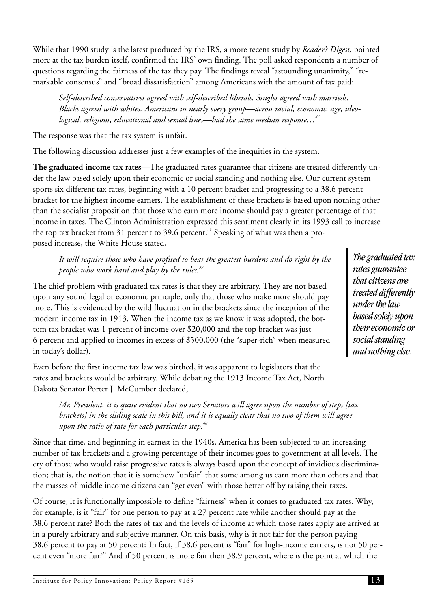<span id="page-17-0"></span>While that 1990 study is the latest produced by the IRS, a more recent study by *Reader's Digest,* pointed more at the tax burden itself, confirmed the IRS' own finding. The poll asked respondents a number of questions regarding the fairness of the tax they pay. The findings reveal "astounding unanimity," "remarkable consensus" and "broad dissatisfaction" among Americans with the amount of tax paid:

*Self-described conservatives agreed with self-described liberals. Singles agreed with marrieds. Blacks agreed with whites. Americans in nearly every group—across racial, economic, age, ideological, religious, educational and sexual lines—had the same median response…<sup>37</sup>*

The response was that the tax system is unfair.

The following discussion addresses just a few examples of the inequities in the system.

**The graduated income tax rates—**The graduated rates guarantee that citizens are treated differently under the law based solely upon their economic or social standing and nothing else. Our current system sports six different tax rates, beginning with a 10 percent bracket and progressing to a 38.6 percent bracket for the highest income earners. The establishment of these brackets is based upon nothing other than the socialist proposition that those who earn more income should pay a greater percentage of that income in taxes. The Clinton Administration expressed this sentiment clearly in its 1993 call to increase the top tax bracket from 31 percent to 39.6 percent.<sup>38</sup> Speaking of what was then a proposed increase, the White House stated,

#### *It will require those who have profited to bear the greatest burdens and do right by the people who work hard and play by the rules.<sup>39</sup>*

The chief problem with graduated tax rates is that they are arbitrary. They are not based upon any sound legal or economic principle, only that those who make more should pay more. This is evidenced by the wild fluctuation in the brackets since the inception of the modern income tax in 1913. When the income tax as we know it was adopted, the bottom tax bracket was 1 percent of income over \$20,000 and the top bracket was just 6 percent and applied to incomes in excess of \$500,000 (the "super-rich" when measured in today's dollar).

Even before the first income tax law was birthed, it was apparent to legislators that the rates and brackets would be arbitrary. While debating the 1913 Income Tax Act, North Dakota Senator Porter J. McCumber declared,

*Mr. President, it is quite evident that no two Senators will agree upon the number of steps [tax brackets] in the sliding scale in this bill, and it is equally clear that no two of them will agree upon the ratio of rate for each particular step.<sup>40</sup>*

Since that time, and beginning in earnest in the 1940s, America has been subjected to an increasing number of tax brackets and a growing percentage of their incomes goes to government at all levels. The cry of those who would raise progressive rates is always based upon the concept of invidious discrimination; that is, the notion that it is somehow "unfair" that some among us earn more than others and that the masses of middle income citizens can "get even" with those better off by raising their taxes.

Of course, it is functionally impossible to define "fairness" when it comes to graduated tax rates. Why, for example, is it "fair" for one person to pay at a 27 percent rate while another should pay at the 38.6 percent rate? Both the rates of tax and the levels of income at which those rates apply are arrived at in a purely arbitrary and subjective manner. On this basis, why is it not fair for the person paying 38.6 percent to pay at 50 percent? In fact, if 38.6 percent is "fair" for high-income earners, is not 50 percent even "more fair?" And if 50 percent is more fair then 38.9 percent, where is the point at which the

*The graduated tax rates guarantee that citizens are treated differently under the law based solely upon their economic or social standing and nothing else.*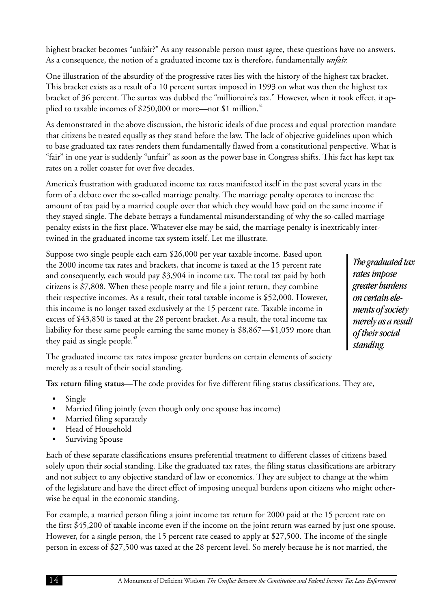14 A Monument of Deficient Wisdom *The Conflict Between the Constitution and Federal Income Tax Law Enforcement*

highest bracket becomes "unfair?" As any reasonable person must agree, these questions have no answers. As a consequence, the notion of a graduated income tax is therefore, fundamentally *unfair.*

One illustration of the absurdity of the progressive rates lies with the history of the highest tax bracket. This bracket exists as a result of a 10 percent surtax imposed in 1993 on what was then the highest tax bracket of 36 percent. The surtax was dubbed the "millionaire's tax." However, when it took effect, it applied to taxable incomes of \$250,000 or more—not \$1 million.<sup>41</sup>

As demonstrated in the above discussion, the historic ideals of due process and equal protection mandate that citizens be treated equally as they stand before the law. The lack of objective guidelines upon which to base graduated tax rates renders them fundamentally flawed from a constitutional perspective. What is "fair" in one year is suddenly "unfair" as soon as the power base in Congress shifts. This fact has kept tax rates on a roller coaster for over five decades.

America's frustration with graduated income tax rates manifested itself in the past several years in the form of a debate over the so-called marriage penalty. The marriage penalty operates to increase the amount of tax paid by a married couple over that which they would have paid on the same income if they stayed single. The debate betrays a fundamental misunderstanding of why the so-called marriage penalty exists in the first place. Whatever else may be said, the marriage penalty is inextricably intertwined in the graduated income tax system itself. Let me illustrate.

Suppose two single people each earn \$26,000 per year taxable income. Based upon the 2000 income tax rates and brackets, that income is taxed at the 15 percent rate and consequently, each would pay \$3,904 in income tax. The total tax paid by both citizens is \$7,808. When these people marry and file a joint return, they combine their respective incomes. As a result, their total taxable income is \$52,000. However, this income is no longer taxed exclusively at the 15 percent rate. Taxable income in excess of \$43,850 is taxed at the 28 percent bracket. As a result, the total income tax liability for these same people earning the same money is \$8,867—\$1,059 more than they paid as single people.<sup>42</sup>

*The graduated tax rates impose greater burdens on certain elements of society merely as a result of their social standing.*

The graduated income tax rates impose greater burdens on certain elements of society merely as a result of their social standing.

**Tax return filing status**—The code provides for five different filing status classifications. They are,

- Single
- Married filing jointly (even though only one spouse has income)
- Married filing separately
- Head of Household
- Surviving Spouse

Each of these separate classifications ensures preferential treatment to different classes of citizens based solely upon their social standing. Like the graduated tax rates, the filing status classifications are arbitrary and not subject to any objective standard of law or economics. They are subject to change at the whim of the legislature and have the direct effect of imposing unequal burdens upon citizens who might otherwise be equal in the economic standing.

For example, a married person filing a joint income tax return for 2000 paid at the 15 percent rate on the first \$45,200 of taxable income even if the income on the joint return was earned by just one spouse. However, for a single person, the 15 percent rate ceased to apply at \$27,500. The income of the single person in excess of \$27,500 was taxed at the 28 percent level. So merely because he is not married, the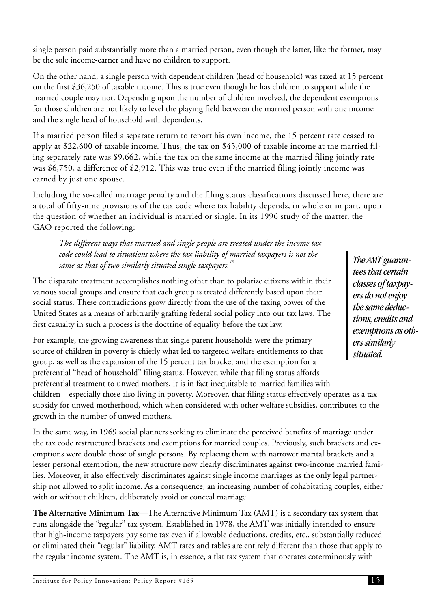single person paid substantially more than a married person, even though the latter, like the former, may be the sole income-earner and have no children to support.

On the other hand, a single person with dependent children (head of household) was taxed at 15 percent on the first \$36,250 of taxable income. This is true even though he has children to support while the married couple may not. Depending upon the number of children involved, the dependent exemptions for those children are not likely to level the playing field between the married person with one income and the single head of household with dependents.

If a married person filed a separate return to report his own income, the 15 percent rate ceased to apply at \$22,600 of taxable income. Thus, the tax on \$45,000 of taxable income at the married filing separately rate was \$9,662, while the tax on the same income at the married filing jointly rate was \$6,750, a difference of \$2,912. This was true even if the married filing jointly income was earned by just one spouse.

Including the so-called marriage penalty and the filing status classifications discussed here, there are a total of fifty-nine provisions of the tax code where tax liability depends, in whole or in part, upon the question of whether an individual is married or single. In its 1996 study of the matter, the GAO reported the following:

*The different ways that married and single people are treated under the income tax code could lead to situations where the tax liability of married taxpayers is not the same as that of two similarly situated single taxpayers.<sup>43</sup>*

The disparate treatment accomplishes nothing other than to polarize citizens within their various social groups and ensure that each group is treated differently based upon their social status. These contradictions grow directly from the use of the taxing power of the United States as a means of arbitrarily grafting federal social policy into our tax laws. The first casualty in such a process is the doctrine of equality before the tax law.

For example, the growing awareness that single parent households were the primary source of children in poverty is chiefly what led to targeted welfare entitlements to that group, as well as the expansion of the 15 percent tax bracket and the exemption for a preferential "head of household" filing status. However, while that filing status affords preferential treatment to unwed mothers, it is in fact inequitable to married families with children—especially those also living in poverty. Moreover, that filing status effectively operates as a tax subsidy for unwed motherhood, which when considered with other welfare subsidies, contributes to the growth in the number of unwed mothers.

In the same way, in 1969 social planners seeking to eliminate the perceived benefits of marriage under the tax code restructured brackets and exemptions for married couples. Previously, such brackets and exemptions were double those of single persons. By replacing them with narrower marital brackets and a lesser personal exemption, the new structure now clearly discriminates against two-income married families. Moreover, it also effectively discriminates against single income marriages as the only legal partnership not allowed to split income. As a consequence, an increasing number of cohabitating couples, either with or without children, deliberately avoid or conceal marriage.

**The Alternative Minimum Tax—**The Alternative Minimum Tax (AMT) is a secondary tax system that runs alongside the "regular" tax system. Established in 1978, the AMT was initially intended to ensure that high-income taxpayers pay some tax even if allowable deductions, credits, etc., substantially reduced or eliminated their "regular" liability. AMT rates and tables are entirely different than those that apply to the regular income system. The AMT is, in essence, a flat tax system that operates coterminously with

*The AMT guarantees that certain classes of taxpayers do not enjoy the same deductions, credits and exemptions as others similarly situated.*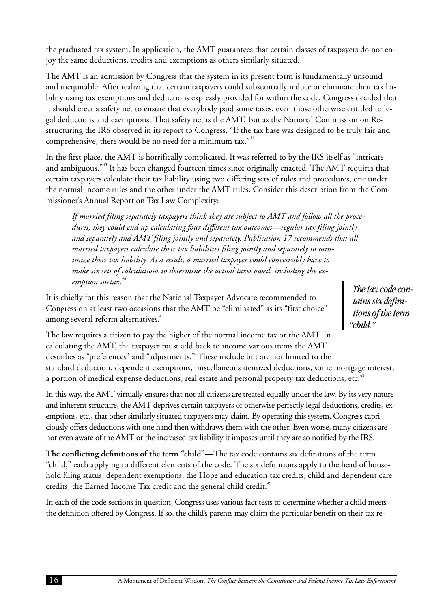the graduated tax system. In application, the AMT guarantees that certain classes of taxpayers do not enjoy the same deductions, credits and exemptions as others similarly situated.

The AMT is an admission by Congress that the system in its present form is fundamentally unsound and inequitable. After realizing that certain taxpayers could substantially reduce or eliminate their tax liability using tax exemptions and deductions expressly provided for within the code, Congress decided that it should erect a safety net to ensure that everybody paid some taxes, even those otherwise entitled to legal deductions and exemptions. That safety net is the AMT. But as the National Commission on Restructuring the IRS observed in its report to Congress, "If the tax base was designed to be truly fair and comprehensive, there would be no need for a minimum tax."<sup>44</sup>

In the first place, the AMT is horrifically complicated. It was referred to by the IRS itself as "intricate and ambiguous."<sup>45</sup> It has been changed fourteen times since originally enacted. The AMT requires that certain taxpayers calculate their tax liability using two differing sets of rules and procedures, one under the normal income rules and the other under the AMT rules. Consider this description from the Commissioner's Annual Report on Tax Law Complexity:

*If married filing separately taxpayers think they are subject to AMT and follow all the procedures, they could end up calculating four different tax outcomes—regular tax filing jointly and separately and AMT filing jointly and separately. Publication 17 recommends that all married taxpayers calculate their tax liabilities filing jointly and separately to minimize their tax liability. As a result, a married taxpayer could conceivably have to make six sets of calculations to determine the actual taxes owed, including the exemption surtax.<sup>46</sup>*

It is chiefly for this reason that the National Taxpayer Advocate recommended to Congress on at least two occasions that the AMT be "eliminated" as its "first choice" among several reform alternatives.<sup>47</sup>

*The tax code contains six definitions of the term "child."*

The law requires a citizen to pay the higher of the normal income tax or the AMT. In calculating the AMT, the taxpayer must add back to income various items the AMT describes as "preferences" and "adjustments." These include but are not limited to the standard deduction, dependent exemptions, miscellaneous itemized deductions, some mortgage interest, a portion of medical expense deductions, real estate and personal property tax deductions, etc.<sup>48</sup>

In this way, the AMT virtually ensures that not all citizens are treated equally under the law. By its very nature and inherent structure, the AMT deprives certain taxpayers of otherwise perfectly legal deductions, credits, exemptions, etc., that other similarly situated taxpayers may claim. By operating this system, Congress capriciously offers deductions with one hand then withdraws them with the other. Even worse, many citizens are not even aware of the AMT or the increased tax liability it imposes until they are so notified by the IRS.

**The conflicting definitions of the term "child"—**The tax code contains six definitions of the term "child," each applying to different elements of the code. The six definitions apply to the head of household filing status, dependent exemptions, the Hope and education tax credits, child and dependent care credits, the Earned Income Tax credit and the general child credit.<sup>49</sup>

In each of the code sections in question, Congress uses various fact tests to determine whether a child meets the definition offered by Congress. If so, the child's parents may claim the particular benefit on their tax re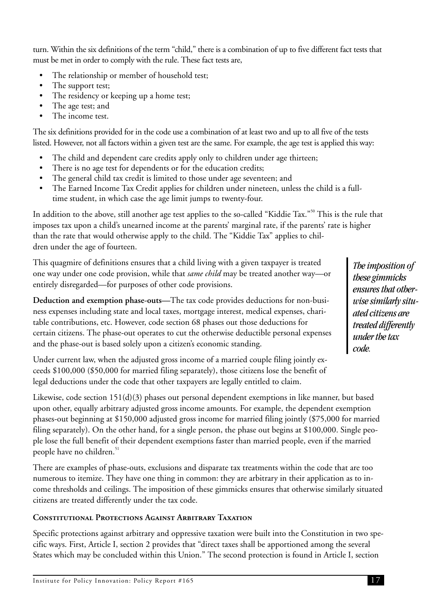turn. Within the six definitions of the term "child," there is a combination of up to five different fact tests that must be met in order to comply with the rule. These fact tests are,

- The relationship or member of household test;
- The support test;
- The residency or keeping up a home test;
- The age test; and
- The income test.

The six definitions provided for in the code use a combination of at least two and up to all five of the tests listed. However, not all factors within a given test are the same. For example, the age test is applied this way:

- The child and dependent care credits apply only to children under age thirteen;
- There is no age test for dependents or for the education credits;
- The general child tax credit is limited to those under age seventeen; and
- The Earned Income Tax Credit applies for children under nineteen, unless the child is a fulltime student, in which case the age limit jumps to twenty-four.

In addition to the above, still another age test applies to the so-called "Kiddie Tax."<sup>50</sup> This is the rule that imposes tax upon a child's unearned income at the parents' marginal rate, if the parents' rate is higher than the rate that would otherwise apply to the child. The "Kiddie Tax" applies to children under the age of fourteen.

This quagmire of definitions ensures that a child living with a given taxpayer is treated one way under one code provision, while that *same child* may be treated another way—or entirely disregarded—for purposes of other code provisions.

**Deduction and exemption phase-outs—**The tax code provides deductions for non-business expenses including state and local taxes, mortgage interest, medical expenses, charitable contributions, etc. However, code section 68 phases out those deductions for certain citizens. The phase-out operates to cut the otherwise deductible personal expenses and the phase-out is based solely upon a citizen's economic standing.

Under current law, when the adjusted gross income of a married couple filing jointly exceeds \$100,000 (\$50,000 for married filing separately), those citizens lose the benefit of legal deductions under the code that other taxpayers are legally entitled to claim.

Likewise, code section 151(d)(3) phases out personal dependent exemptions in like manner, but based upon other, equally arbitrary adjusted gross income amounts. For example, the dependent exemption phases-out beginning at \$150,000 adjusted gross income for married filing jointly (\$75,000 for married filing separately). On the other hand, for a single person, the phase out begins at \$100,000. Single people lose the full benefit of their dependent exemptions faster than married people, even if the married people have no children.<sup>51</sup>

There are examples of phase-outs, exclusions and disparate tax treatments within the code that are too numerous to itemize. They have one thing in common: they are arbitrary in their application as to income thresholds and ceilings. The imposition of these gimmicks ensures that otherwise similarly situated citizens are treated differently under the tax code.

#### **Constitutional Protections Against Arbitrary Taxation**

Specific protections against arbitrary and oppressive taxation were built into the Constitution in two specific ways. First, Article I, section 2 provides that "direct taxes shall be apportioned among the several States which may be concluded within this Union." The second protection is found in Article I, section

*The imposition of these gimmicks ensures that otherwise similarly situated citizens are treated differently under the tax code.*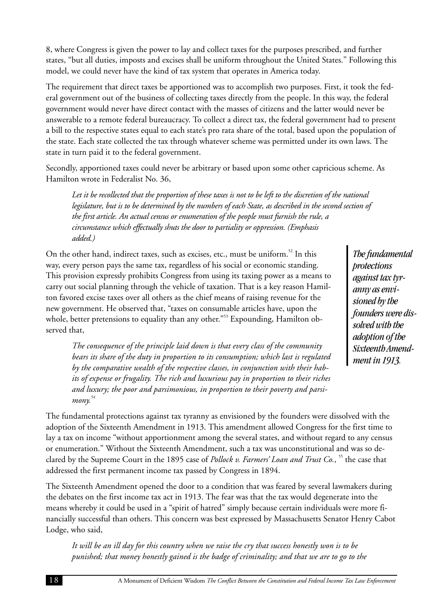8, where Congress is given the power to lay and collect taxes for the purposes prescribed, and further states, "but all duties, imposts and excises shall be uniform throughout the United States." Following this model, we could never have the kind of tax system that operates in America today.

The requirement that direct taxes be apportioned was to accomplish two purposes. First, it took the federal government out of the business of collecting taxes directly from the people. In this way, the federal government would never have direct contact with the masses of citizens and the latter would never be answerable to a remote federal bureaucracy. To collect a direct tax, the federal government had to present a bill to the respective states equal to each state's pro rata share of the total, based upon the population of the state. Each state collected the tax through whatever scheme was permitted under its own laws. The state in turn paid it to the federal government.

Secondly, apportioned taxes could never be arbitrary or based upon some other capricious scheme. As Hamilton wrote in Federalist No. 36,

*Let it be recollected that the proportion of these taxes is not to be left to the discretion of the national legislature, but is to be determined by the numbers of each State, as described in the second section of the first article. An actual census or enumeration of the people must furnish the rule, a circumstance which effectually shuts the door to partiality or oppression. (Emphasis added.)*

On the other hand, indirect taxes, such as excises, etc., must be uniform.<sup>52</sup> In this way, every person pays the same tax, regardless of his social or economic standing. This provision expressly prohibits Congress from using its taxing power as a means to carry out social planning through the vehicle of taxation. That is a key reason Hamilton favored excise taxes over all others as the chief means of raising revenue for the new government. He observed that, "taxes on consumable articles have, upon the whole, better pretensions to equality than any other."<sup>53</sup> Expounding, Hamilton observed that,

*The consequence of the principle laid down is that every class of the community bears its share of the duty in proportion to its consumption; which last is regulated by the comparative wealth of the respective classes, in conjunction with their habits of expense or frugality. The rich and luxurious pay in proportion to their riches and luxury; the poor and parsimonious, in proportion to their poverty and parsimony. 54*

*The fundamental protections against tax tyranny as envisioned by the founders were dissolved with the adoption of the Sixteenth Amendment in 1913.*

The fundamental protections against tax tyranny as envisioned by the founders were dissolved with the adoption of the Sixteenth Amendment in 1913. This amendment allowed Congress for the first time to lay a tax on income "without apportionment among the several states, and without regard to any census or enumeration." Without the Sixteenth Amendment, such a tax was unconstitutional and was so declared by the Supreme Court in the 1895 case of *Pollock v. Farmers' Loan and Trust Co.*, <sup>55</sup> the case that addressed the first permanent income tax passed by Congress in 1894.

The Sixteenth Amendment opened the door to a condition that was feared by several lawmakers during the debates on the first income tax act in 1913. The fear was that the tax would degenerate into the means whereby it could be used in a "spirit of hatred" simply because certain individuals were more financially successful than others. This concern was best expressed by Massachusetts Senator Henry Cabot Lodge, who said,

*It will be an ill day for this country when we raise the cry that success honestly won is to be punished; that money honestly gained is the badge of criminality; and that we are to go to the*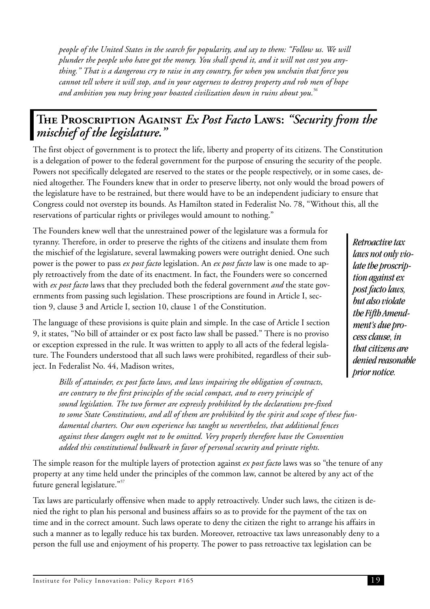<span id="page-23-0"></span>*people of the United States in the search for popularity, and say to them: "Follow us. We will plunder the people who have got the money. You shall spend it, and it will not cost you anything." That is a dangerous cry to raise in any country, for when you unchain that force you cannot tell where it will stop, and in your eagerness to destroy property and rob men of hope and ambition you may bring your boasted civilization down in ruins about you.<sup>56</sup>*

## **The Proscription Against** *Ex Post Facto* **Laws:** *"Security from the mischief of the legislature."*

The first object of government is to protect the life, liberty and property of its citizens. The Constitution is a delegation of power to the federal government for the purpose of ensuring the security of the people. Powers not specifically delegated are reserved to the states or the people respectively, or in some cases, denied altogether. The Founders knew that in order to preserve liberty, not only would the broad powers of the legislature have to be restrained, but there would have to be an independent judiciary to ensure that Congress could not overstep its bounds. As Hamilton stated in Federalist No. 78, "Without this, all the reservations of particular rights or privileges would amount to nothing."

The Founders knew well that the unrestrained power of the legislature was a formula for tyranny. Therefore, in order to preserve the rights of the citizens and insulate them from the mischief of the legislature, several lawmaking powers were outright denied. One such power is the power to pass *ex post facto* legislation. An *ex post facto* law is one made to apply retroactively from the date of its enactment. In fact, the Founders were so concerned with *ex post facto* laws that they precluded both the federal government *and* the state governments from passing such legislation. These proscriptions are found in Article I, section 9, clause 3 and Article I, section 10, clause 1 of the Constitution.

The language of these provisions is quite plain and simple. In the case of Article I section 9, it states, "No bill of attainder or ex post facto law shall be passed." There is no proviso or exception expressed in the rule. It was written to apply to all acts of the federal legislature. The Founders understood that all such laws were prohibited, regardless of their subject. In Federalist No. 44, Madison writes,

*Bills of attainder, ex post facto laws, and laws impairing the obligation of contracts, are contrary to the first principles of the social compact, and to every principle of sound legislation. The two former are expressly prohibited by the declarations pre-fixed to some State Constitutions, and all of them are prohibited by the spirit and scope of these fundamental charters. Our own experience has taught us nevertheless, that additional fences against these dangers ought not to be omitted. Very properly therefore have the Convention added this constitutional bulkwark in favor of personal security and private rights.*

The simple reason for the multiple layers of protection against *ex post facto* laws was so "the tenure of any property at any time held under the principles of the common law, cannot be altered by any act of the future general legislature."<sup>57</sup>

Tax laws are particularly offensive when made to apply retroactively. Under such laws, the citizen is denied the right to plan his personal and business affairs so as to provide for the payment of the tax on time and in the correct amount. Such laws operate to deny the citizen the right to arrange his affairs in such a manner as to legally reduce his tax burden. Moreover, retroactive tax laws unreasonably deny to a person the full use and enjoyment of his property. The power to pass retroactive tax legislation can be

*Retroactive tax laws not only violate the proscription against ex post facto laws, but also violate the Fifth Amendment's due process clause, in that citizens are denied reasonable prior notice.*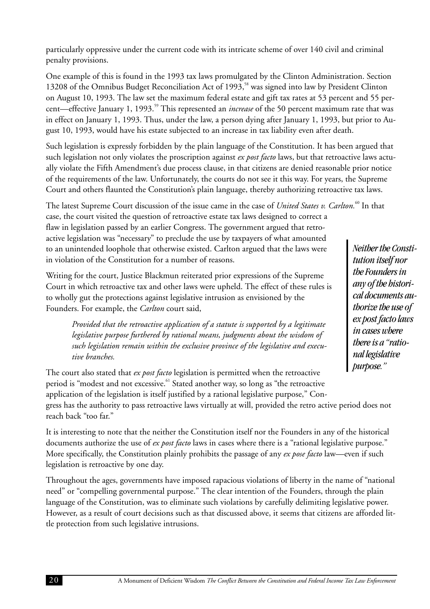particularly oppressive under the current code with its intricate scheme of over 140 civil and criminal penalty provisions.

One example of this is found in the 1993 tax laws promulgated by the Clinton Administration. Section 13208 of the Omnibus Budget Reconciliation Act of 1993,<sup>58</sup> was signed into law by President Clinton on August 10, 1993. The law set the maximum federal estate and gift tax rates at 53 percent and 55 percent—effective January 1, 1993.<sup>59</sup> This represented an *increase* of the 50 percent maximum rate that was in effect on January 1, 1993. Thus, under the law, a person dying after January 1, 1993, but prior to August 10, 1993, would have his estate subjected to an increase in tax liability even after death.

Such legislation is expressly forbidden by the plain language of the Constitution. It has been argued that such legislation not only violates the proscription against *ex post facto* laws, but that retroactive laws actually violate the Fifth Amendment's due process clause, in that citizens are denied reasonable prior notice of the requirements of the law. Unfortunately, the courts do not see it this way. For years, the Supreme Court and others flaunted the Constitution's plain language, thereby authorizing retroactive tax laws.

The latest Supreme Court discussion of the issue came in the case of *United States v. Carlton.*<sup>60</sup> In that

case, the court visited the question of retroactive estate tax laws designed to correct a flaw in legislation passed by an earlier Congress. The government argued that retroactive legislation was "necessary" to preclude the use by taxpayers of what amounted to an unintended loophole that otherwise existed. Carlton argued that the laws were in violation of the Constitution for a number of reasons.

Writing for the court, Justice Blackmun reiterated prior expressions of the Supreme Court in which retroactive tax and other laws were upheld. The effect of these rules is to wholly gut the protections against legislative intrusion as envisioned by the Founders. For example, the *Carlton* court said,

*Provided that the retroactive application of a statute is supported by a legitimate legislative purpose furthered by rational means, judgments about the wisdom of such legislation remain within the exclusive province of the legislative and executive branches.*

The court also stated that *ex post facto* legislation is permitted when the retroactive period is "modest and not excessive.<sup>61</sup> Stated another way, so long as "the retroactive application of the legislation is itself justified by a rational legislative purpose," Congress has the authority to pass retroactive laws virtually at will, provided the retro active period does not reach back "too far."

It is interesting to note that the neither the Constitution itself nor the Founders in any of the historical documents authorize the use of *ex post facto* laws in cases where there is a "rational legislative purpose." More specifically, the Constitution plainly prohibits the passage of any *ex pose facto* law—even if such legislation is retroactive by one day.

Throughout the ages, governments have imposed rapacious violations of liberty in the name of "national need" or "compelling governmental purpose." The clear intention of the Founders, through the plain language of the Constitution, was to eliminate such violations by carefully delimiting legislative power. However, as a result of court decisions such as that discussed above, it seems that citizens are afforded little protection from such legislative intrusions.

*Neither the Constitution itself nor the Founders in any of the historical documents authorize the use of ex post facto laws in cases where there is a "rational legislative purpose."*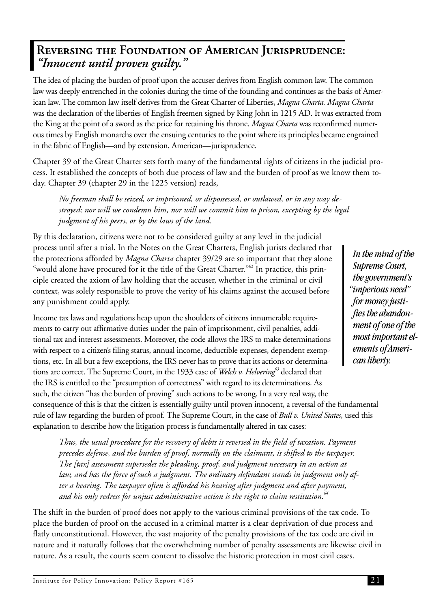### <span id="page-25-0"></span>**Reversing the Foundation of American Jurisprudence:** *"Innocent until proven guilty."*

The idea of placing the burden of proof upon the accuser derives from English common law. The common law was deeply entrenched in the colonies during the time of the founding and continues as the basis of American law. The common law itself derives from the Great Charter of Liberties, *Magna Charta. Magna Charta* was the declaration of the liberties of English freemen signed by King John in 1215 AD. It was extracted from the King at the point of a sword as the price for retaining his throne. *Magna Charta* was reconfirmed numerous times by English monarchs over the ensuing centuries to the point where its principles became engrained in the fabric of English—and by extension, American—jurisprudence.

Chapter 39 of the Great Charter sets forth many of the fundamental rights of citizens in the judicial process. It established the concepts of both due process of law and the burden of proof as we know them today. Chapter 39 (chapter 29 in the 1225 version) reads,

*No freeman shall be seized, or imprisoned, or dispossessed, or outlawed, or in any way destroyed; nor will we condemn him, nor will we commit him to prison, excepting by the legal judgment of his peers, or by the laws of the land.*

By this declaration, citizens were not to be considered guilty at any level in the judicial process until after a trial. In the Notes on the Great Charters, English jurists declared that the protections afforded by *Magna Charta* chapter 39/29 are so important that they alone "would alone have procured for it the title of the Great Charter."<sup>62</sup> In practice, this principle created the axiom of law holding that the accuser, whether in the criminal or civil context, was solely responsible to prove the verity of his claims against the accused before any punishment could apply.

Income tax laws and regulations heap upon the shoulders of citizens innumerable requirements to carry out affirmative duties under the pain of imprisonment, civil penalties, additional tax and interest assessments. Moreover, the code allows the IRS to make determinations with respect to a citizen's filing status, annual income, deductible expenses, dependent exemptions, etc. In all but a few exceptions, the IRS never has to prove that its actions or determinations are correct. The Supreme Court, in the 1933 case of *Welch v. Helvering*<sup>63</sup> declared that the IRS is entitled to the "presumption of correctness" with regard to its determinations. As such, the citizen "has the burden of proving" such actions to be wrong. In a very real way, the consequence of this is that the citizen is essentially guilty until proven innocent, a reversal of the fundamental rule of law regarding the burden of proof. The Supreme Court, in the case of *Bull v. United States,* used this explanation to describe how the litigation process is fundamentally altered in tax cases:

*Thus, the usual procedure for the recovery of debts is reversed in the field of taxation. Payment precedes defense, and the burden of proof, normally on the claimant, is shifted to the taxpayer. The [tax] assessment supersedes the pleading, proof, and judgment necessary in an action at law, and has the force of such a judgment. The ordinary defendant stands in judgment only after a hearing. The taxpayer often is afforded his hearing after judgment and after payment, and his only redress for unjust administrative action is the right to claim restitution.<sup>64</sup>*

The shift in the burden of proof does not apply to the various criminal provisions of the tax code. To place the burden of proof on the accused in a criminal matter is a clear deprivation of due process and flatly unconstitutional. However, the vast majority of the penalty provisions of the tax code are civil in nature and it naturally follows that the overwhelming number of penalty assessments are likewise civil in nature. As a result, the courts seem content to dissolve the historic protection in most civil cases.

*In the mind of the Supreme Court, the government's "imperious need" for money justifies the abandonment of one of the most important elements of American liberty.*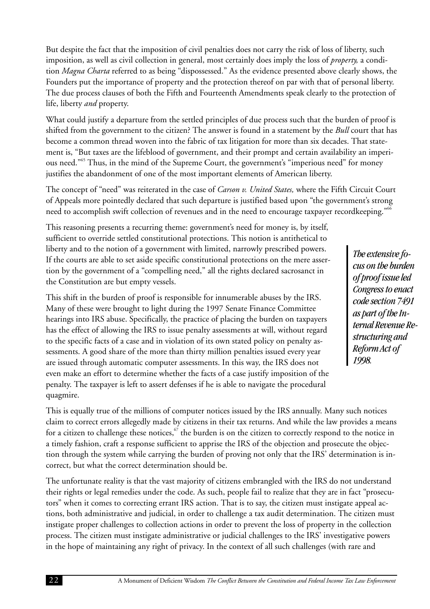But despite the fact that the imposition of civil penalties does not carry the risk of loss of liberty, such imposition, as well as civil collection in general, most certainly does imply the loss of *property,* a condition *Magna Charta* referred to as being "dispossessed." As the evidence presented above clearly shows, the Founders put the importance of property and the protection thereof on par with that of personal liberty. The due process clauses of both the Fifth and Fourteenth Amendments speak clearly to the protection of life, liberty *and* property.

What could justify a departure from the settled principles of due process such that the burden of proof is shifted from the government to the citizen? The answer is found in a statement by the *Bull* court that has become a common thread woven into the fabric of tax litigation for more than six decades. That statement is, "But taxes are the lifeblood of government, and their prompt and certain availability an imperious need."<sup>65</sup> Thus, in the mind of the Supreme Court, the government's "imperious need" for money justifies the abandonment of one of the most important elements of American liberty.

The concept of "need" was reiterated in the case of *Carson v. United States,* where the Fifth Circuit Court of Appeals more pointedly declared that such departure is justified based upon "the government's strong need to accomplish swift collection of revenues and in the need to encourage taxpayer recordkeeping."<sup>66</sup>

This reasoning presents a recurring theme: government's need for money is, by itself, sufficient to override settled constitutional protections. This notion is antithetical to liberty and to the notion of a government with limited, narrowly prescribed powers. If the courts are able to set aside specific constitutional protections on the mere assertion by the government of a "compelling need," all the rights declared sacrosanct in the Constitution are but empty vessels.

This shift in the burden of proof is responsible for innumerable abuses by the IRS. Many of these were brought to light during the 1997 Senate Finance Committee hearings into IRS abuse. Specifically, the practice of placing the burden on taxpayers has the effect of allowing the IRS to issue penalty assessments at will, without regard to the specific facts of a case and in violation of its own stated policy on penalty assessments. A good share of the more than thirty million penalties issued every year are issued through automatic computer assessments. In this way, the IRS does not even make an effort to determine whether the facts of a case justify imposition of the penalty. The taxpayer is left to assert defenses if he is able to navigate the procedural quagmire.

*The extensive focus on the burden of proof issue led Congress to enact code section 7491 as part of the Internal Revenue Restructuring and Reform Act of 1998.*

This is equally true of the millions of computer notices issued by the IRS annually. Many such notices claim to correct errors allegedly made by citizens in their tax returns. And while the law provides a means for a citizen to challenge these notices,  $\sigma$  the burden is on the citizen to correctly respond to the notice in a timely fashion, craft a response sufficient to apprise the IRS of the objection and prosecute the objection through the system while carrying the burden of proving not only that the IRS' determination is incorrect, but what the correct determination should be.

The unfortunate reality is that the vast majority of citizens embrangled with the IRS do not understand their rights or legal remedies under the code. As such, people fail to realize that they are in fact "prosecutors" when it comes to correcting errant IRS action. That is to say, the citizen must instigate appeal actions, both administrative and judicial, in order to challenge a tax audit determination. The citizen must instigate proper challenges to collection actions in order to prevent the loss of property in the collection process. The citizen must instigate administrative or judicial challenges to the IRS' investigative powers in the hope of maintaining any right of privacy. In the context of all such challenges (with rare and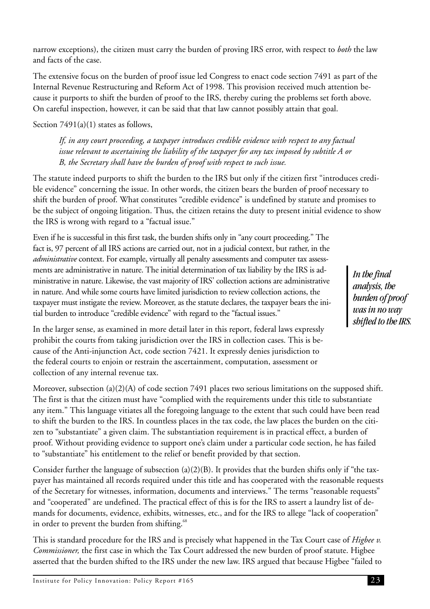<span id="page-27-0"></span>narrow exceptions), the citizen must carry the burden of proving IRS error, with respect to *both* the law and facts of the case.

The extensive focus on the burden of proof issue led Congress to enact code section 7491 as part of the Internal Revenue Restructuring and Reform Act of 1998. This provision received much attention because it purports to shift the burden of proof to the IRS, thereby curing the problems set forth above. On careful inspection, however, it can be said that that law cannot possibly attain that goal.

Section  $7491(a)(1)$  states as follows,

*If, in any court proceeding, a taxpayer introduces credible evidence with respect to any factual issue relevant to ascertaining the liability of the taxpayer for any tax imposed by subtitle A or B, the Secretary shall have the burden of proof with respect to such issue.*

The statute indeed purports to shift the burden to the IRS but only if the citizen first "introduces credible evidence" concerning the issue. In other words, the citizen bears the burden of proof necessary to shift the burden of proof. What constitutes "credible evidence" is undefined by statute and promises to be the subject of ongoing litigation. Thus, the citizen retains the duty to present initial evidence to show the IRS is wrong with regard to a "factual issue."

Even if he is successful in this first task, the burden shifts only in "any court proceeding." The fact is, 97 percent of all IRS actions are carried out, not in a judicial context, but rather, in the *administrative* context. For example, virtually all penalty assessments and computer tax assessments are administrative in nature. The initial determination of tax liability by the IRS is administrative in nature. Likewise, the vast majority of IRS' collection actions are administrative in nature. And while some courts have limited jurisdiction to review collection actions, the taxpayer must instigate the review. Moreover, as the statute declares, the taxpayer bears the initial burden to introduce "credible evidence" with regard to the "factual issues."

*In the final analysis, the burden of proof was in no way shifted to the IRS.*

In the larger sense, as examined in more detail later in this report, federal laws expressly prohibit the courts from taking jurisdiction over the IRS in collection cases. This is because of the Anti-injunction Act, code section 7421. It expressly denies jurisdiction to the federal courts to enjoin or restrain the ascertainment, computation, assessment or collection of any internal revenue tax.

Moreover, subsection (a)(2)(A) of code section 7491 places two serious limitations on the supposed shift. The first is that the citizen must have "complied with the requirements under this title to substantiate any item." This language vitiates all the foregoing language to the extent that such could have been read to shift the burden to the IRS. In countless places in the tax code, the law places the burden on the citizen to "substantiate" a given claim. The substantiation requirement is in practical effect, a burden of proof. Without providing evidence to support one's claim under a particular code section, he has failed to "substantiate" his entitlement to the relief or benefit provided by that section.

Consider further the language of subsection (a)(2)(B). It provides that the burden shifts only if "the taxpayer has maintained all records required under this title and has cooperated with the reasonable requests of the Secretary for witnesses, information, documents and interviews." The terms "reasonable requests" and "cooperated" are undefined. The practical effect of this is for the IRS to assert a laundry list of demands for documents, evidence, exhibits, witnesses, etc., and for the IRS to allege "lack of cooperation" in order to prevent the burden from shifting.<sup>68</sup>

This is standard procedure for the IRS and is precisely what happened in the Tax Court case of *Higbee v. Commissioner,* the first case in which the Tax Court addressed the new burden of proof statute. Higbee asserted that the burden shifted to the IRS under the new law. IRS argued that because Higbee "failed to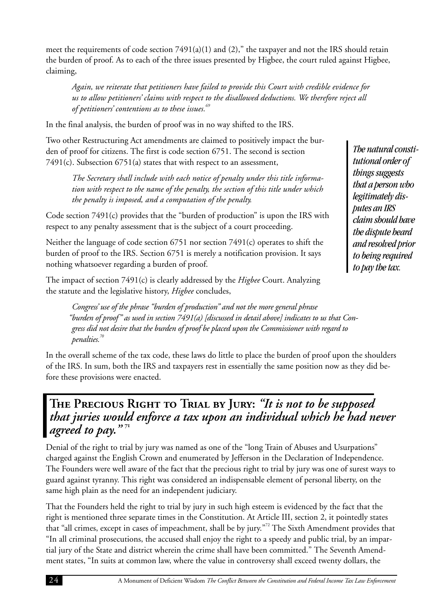meet the requirements of code section 7491(a)(1) and (2)," the taxpayer and not the IRS should retain the burden of proof. As to each of the three issues presented by Higbee, the court ruled against Higbee, claiming,

*Again, we reiterate that petitioners have failed to provide this Court with credible evidence for us to allow petitioners' claims with respect to the disallowed deductions. We therefore reject all of petitioners' contentions as to these issues.<sup>69</sup>*

In the final analysis, the burden of proof was in no way shifted to the IRS.

Two other Restructuring Act amendments are claimed to positively impact the burden of proof for citizens. The first is code section 6751. The second is section 7491(c). Subsection 6751(a) states that with respect to an assessment,

*The Secretary shall include with each notice of penalty under this title information with respect to the name of the penalty, the section of this title under which the penalty is imposed, and a computation of the penalty.*

Code section 7491(c) provides that the "burden of production" is upon the IRS with respect to any penalty assessment that is the subject of a court proceeding.

Neither the language of code section 6751 nor section 7491(c) operates to shift the burden of proof to the IRS. Section 6751 is merely a notification provision. It says nothing whatsoever regarding a burden of proof.

The impact of section 7491(c) is clearly addressed by the *Higbee* Court. Analyzing the statute and the legislative history, *Higbee* concludes,

*Congress' use of the phrase "burden of production" and not the more general phrase "burden of proof" as used in section 7491(a) [discussed in detail above] indicates to us that Congress did not desire that the burden of proof be placed upon the Commissioner with regard to penalties.70*

In the overall scheme of the tax code, these laws do little to place the burden of proof upon the shoulders of the IRS. In sum, both the IRS and taxpayers rest in essentially the same position now as they did before these provisions were enacted.

## **The Precious Right to Trial by Jury:** *"It is not to be supposed that juries would enforce a tax upon an individual which he had never agreed to pay."* **<sup>71</sup>**

Denial of the right to trial by jury was named as one of the "long Train of Abuses and Usurpations" charged against the English Crown and enumerated by Jefferson in the Declaration of Independence. The Founders were well aware of the fact that the precious right to trial by jury was one of surest ways to guard against tyranny. This right was considered an indispensable element of personal liberty, on the same high plain as the need for an independent judiciary.

That the Founders held the right to trial by jury in such high esteem is evidenced by the fact that the right is mentioned three separate times in the Constitution. At Article III, section 2, it pointedly states that "all crimes, except in cases of impeachment, shall be by jury."<sup>72</sup> The Sixth Amendment provides that "In all criminal prosecutions, the accused shall enjoy the right to a speedy and public trial, by an impartial jury of the State and district wherein the crime shall have been committed." The Seventh Amendment states, "In suits at common law, where the value in controversy shall exceed twenty dollars, the

*The natural constitutional order of things suggests that a person who legitimately disputes an IRS claim should have the dispute heard and resolved prior to being required to pay the tax.*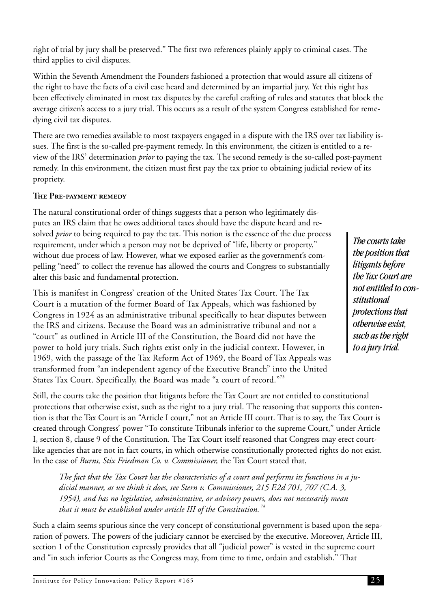right of trial by jury shall be preserved." The first two references plainly apply to criminal cases. The third applies to civil disputes.

Within the Seventh Amendment the Founders fashioned a protection that would assure all citizens of the right to have the facts of a civil case heard and determined by an impartial jury. Yet this right has been effectively eliminated in most tax disputes by the careful crafting of rules and statutes that block the average citizen's access to a jury trial. This occurs as a result of the system Congress established for remedying civil tax disputes.

There are two remedies available to most taxpayers engaged in a dispute with the IRS over tax liability issues. The first is the so-called pre-payment remedy. In this environment, the citizen is entitled to a review of the IRS' determination *prior* to paying the tax. The second remedy is the so-called post-payment remedy. In this environment, the citizen must first pay the tax prior to obtaining judicial review of its propriety.

#### **The Pre-payment remedy**

The natural constitutional order of things suggests that a person who legitimately disputes an IRS claim that he owes additional taxes should have the dispute heard and resolved *prior* to being required to pay the tax. This notion is the essence of the due process requirement, under which a person may not be deprived of "life, liberty or property," without due process of law. However, what we exposed earlier as the government's compelling "need" to collect the revenue has allowed the courts and Congress to substantially alter this basic and fundamental protection.

This is manifest in Congress' creation of the United States Tax Court. The Tax Court is a mutation of the former Board of Tax Appeals, which was fashioned by Congress in 1924 as an administrative tribunal specifically to hear disputes between the IRS and citizens. Because the Board was an administrative tribunal and not a "court" as outlined in Article III of the Constitution, the Board did not have the power to hold jury trials. Such rights exist only in the judicial context. However, in 1969, with the passage of the Tax Reform Act of 1969, the Board of Tax Appeals was transformed from "an independent agency of the Executive Branch" into the United States Tax Court. Specifically, the Board was made "a court of record."<sup>73</sup>

*The courts take the position that litigants before the Tax Court are not entitled to constitutional protections that otherwise exist, such as the right to a jury trial.*

Still, the courts take the position that litigants before the Tax Court are not entitled to constitutional protections that otherwise exist, such as the right to a jury trial. The reasoning that supports this contention is that the Tax Court is an "Article I court," not an Article III court. That is to say, the Tax Court is created through Congress' power "To constitute Tribunals inferior to the supreme Court," under Article I, section 8, clause 9 of the Constitution. The Tax Court itself reasoned that Congress may erect courtlike agencies that are not in fact courts, in which otherwise constitutionally protected rights do not exist. In the case of *Burns, Stix Friedman Co. v. Commissioner,* the Tax Court stated that,

*The fact that the Tax Court has the characteristics of a court and performs its functions in a judicial manner, as we think it does, see Stern v. Commissioner, 215 F.2d 701, 707 (C.A. 3, 1954), and has no legislative, administrative, or advisory powers, does not necessarily mean that it must be established under article III of the Constitution. <sup>74</sup>*

Such a claim seems spurious since the very concept of constitutional government is based upon the separation of powers. The powers of the judiciary cannot be exercised by the executive. Moreover, Article III, section 1 of the Constitution expressly provides that all "judicial power" is vested in the supreme court and "in such inferior Courts as the Congress may, from time to time, ordain and establish." That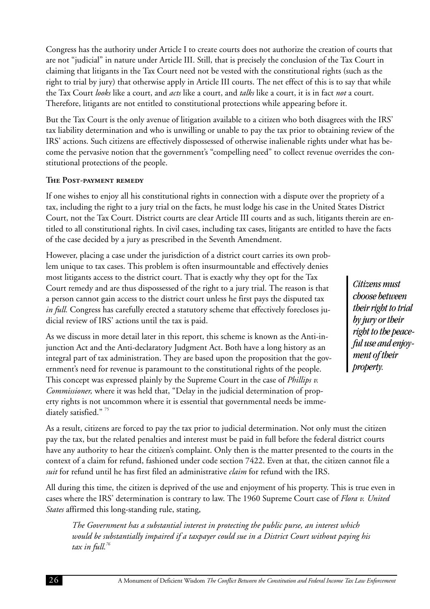<span id="page-30-0"></span>Congress has the authority under Article I to create courts does not authorize the creation of courts that are not "judicial" in nature under Article III. Still, that is precisely the conclusion of the Tax Court in claiming that litigants in the Tax Court need not be vested with the constitutional rights (such as the right to trial by jury) that otherwise apply in Article III courts. The net effect of this is to say that while the Tax Court *looks* like a court, and *acts* like a court, and *talks* like a court, it is in fact *not* a court. Therefore, litigants are not entitled to constitutional protections while appearing before it.

But the Tax Court is the only avenue of litigation available to a citizen who both disagrees with the IRS' tax liability determination and who is unwilling or unable to pay the tax prior to obtaining review of the IRS' actions. Such citizens are effectively dispossessed of otherwise inalienable rights under what has become the pervasive notion that the government's "compelling need" to collect revenue overrides the constitutional protections of the people.

#### **The Post-payment remedy**

If one wishes to enjoy all his constitutional rights in connection with a dispute over the propriety of a tax, including the right to a jury trial on the facts, he must lodge his case in the United States District Court, not the Tax Court. District courts are clear Article III courts and as such, litigants therein are entitled to all constitutional rights. In civil cases, including tax cases, litigants are entitled to have the facts of the case decided by a jury as prescribed in the Seventh Amendment.

However, placing a case under the jurisdiction of a district court carries its own problem unique to tax cases. This problem is often insurmountable and effectively denies most litigants access to the district court. That is exactly why they opt for the Tax Court remedy and are thus dispossessed of the right to a jury trial. The reason is that a person cannot gain access to the district court unless he first pays the disputed tax *in full.* Congress has carefully erected a statutory scheme that effectively forecloses judicial review of IRS' actions until the tax is paid.

As we discuss in more detail later in this report, this scheme is known as the Anti-injunction Act and the Anti-declaratory Judgment Act. Both have a long history as an integral part of tax administration. They are based upon the proposition that the government's need for revenue is paramount to the constitutional rights of the people. This concept was expressed plainly by the Supreme Court in the case of *Phillips v. Commissioner,* where it was held that, "Delay in the judicial determination of property rights is not uncommon where it is essential that governmental needs be immediately satisfied."<sup>75</sup>

*by jury or their right to the peaceful use and enjoyment of their property.*

*Citizens must choose between their right to trial*

As a result, citizens are forced to pay the tax prior to judicial determination. Not only must the citizen pay the tax, but the related penalties and interest must be paid in full before the federal district courts have any authority to hear the citizen's complaint. Only then is the matter presented to the courts in the context of a claim for refund, fashioned under code section 7422. Even at that, the citizen cannot file a *suit* for refund until he has first filed an administrative *claim* for refund with the IRS.

All during this time, the citizen is deprived of the use and enjoyment of his property. This is true even in cases where the IRS' determination is contrary to law. The 1960 Supreme Court case of *Flora v. United States* affirmed this long-standing rule, stating,

*The Government has a substantial interest in protecting the public purse, an interest which would be substantially impaired if a taxpayer could sue in a District Court without paying his tax in full.<sup>76</sup>*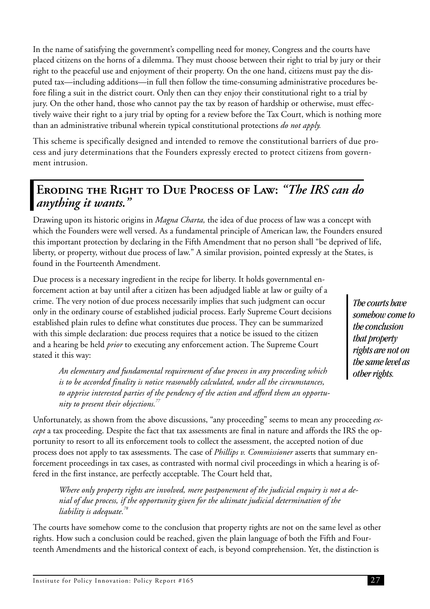<span id="page-31-0"></span>In the name of satisfying the government's compelling need for money, Congress and the courts have placed citizens on the horns of a dilemma. They must choose between their right to trial by jury or their right to the peaceful use and enjoyment of their property. On the one hand, citizens must pay the disputed tax—including additions—in full then follow the time-consuming administrative procedures before filing a suit in the district court. Only then can they enjoy their constitutional right to a trial by jury. On the other hand, those who cannot pay the tax by reason of hardship or otherwise, must effectively waive their right to a jury trial by opting for a review before the Tax Court, which is nothing more than an administrative tribunal wherein typical constitutional protections *do not apply.*

This scheme is specifically designed and intended to remove the constitutional barriers of due process and jury determinations that the Founders expressly erected to protect citizens from government intrusion.

### **Eroding the Right to Due Process of Law:** *"The IRS can do anything it wants."*

Drawing upon its historic origins in *Magna Charta,* the idea of due process of law was a concept with which the Founders were well versed. As a fundamental principle of American law, the Founders ensured this important protection by declaring in the Fifth Amendment that no person shall "be deprived of life, liberty, or property, without due process of law." A similar provision, pointed expressly at the States, is found in the Fourteenth Amendment.

Due process is a necessary ingredient in the recipe for liberty. It holds governmental enforcement action at bay until after a citizen has been adjudged liable at law or guilty of a crime. The very notion of due process necessarily implies that such judgment can occur only in the ordinary course of established judicial process. Early Supreme Court decisions established plain rules to define what constitutes due process. They can be summarized with this simple declaration: due process requires that a notice be issued to the citizen and a hearing be held *prior* to executing any enforcement action. The Supreme Court stated it this way:

*An elementary and fundamental requirement of due process in any proceeding which is to be accorded finality is notice reasonably calculated, under all the circumstances, to apprise interested parties of the pendency of the action and afford them an opportunity to present their objections.<sup>77</sup>*

*The courts have somehow come to the conclusion that property rights are not on the same level as other rights.*

Unfortunately, as shown from the above discussions, "any proceeding" seems to mean any proceeding *except* a tax proceeding. Despite the fact that tax assessments are final in nature and affords the IRS the opportunity to resort to all its enforcement tools to collect the assessment, the accepted notion of due process does not apply to tax assessments. The case of *Phillips v. Commissioner* asserts that summary enforcement proceedings in tax cases, as contrasted with normal civil proceedings in which a hearing is offered in the first instance, are perfectly acceptable. The Court held that,

*Where only property rights are involved, mere postponement of the judicial enquiry is not a denial of due process, if the opportunity given for the ultimate judicial determination of the liability is adequate.<sup>78</sup>*

The courts have somehow come to the conclusion that property rights are not on the same level as other rights. How such a conclusion could be reached, given the plain language of both the Fifth and Fourteenth Amendments and the historical context of each, is beyond comprehension. Yet, the distinction is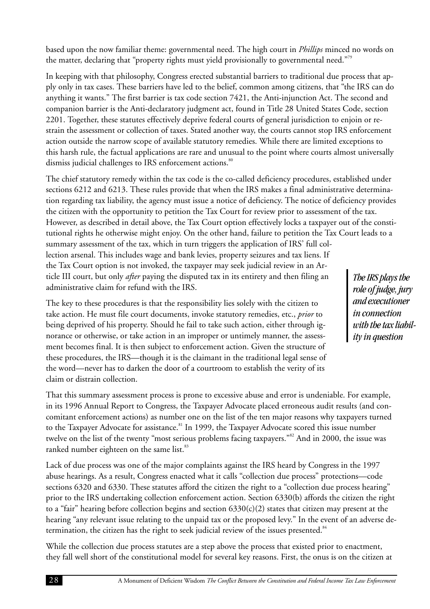<span id="page-32-0"></span>based upon the now familiar theme: governmental need. The high court in *Phillips* minced no words on the matter, declaring that "property rights must yield provisionally to governmental need."<sup>79</sup>

In keeping with that philosophy, Congress erected substantial barriers to traditional due process that apply only in tax cases. These barriers have led to the belief, common among citizens, that "the IRS can do anything it wants." The first barrier is tax code section 7421, the Anti-injunction Act. The second and companion barrier is the Anti-declaratory judgment act, found in Title 28 United States Code, section 2201. Together, these statutes effectively deprive federal courts of general jurisdiction to enjoin or restrain the assessment or collection of taxes. Stated another way, the courts cannot stop IRS enforcement action outside the narrow scope of available statutory remedies. While there are limited exceptions to this harsh rule, the factual applications are rare and unusual to the point where courts almost universally dismiss judicial challenges to IRS enforcement actions.<sup>80</sup>

The chief statutory remedy within the tax code is the co-called deficiency procedures, established under sections 6212 and 6213. These rules provide that when the IRS makes a final administrative determination regarding tax liability, the agency must issue a notice of deficiency. The notice of deficiency provides the citizen with the opportunity to petition the Tax Court for review prior to assessment of the tax. However, as described in detail above, the Tax Court option effectively locks a taxpayer out of the constitutional rights he otherwise might enjoy. On the other hand, failure to petition the Tax Court leads to a summary assessment of the tax, which in turn triggers the application of IRS' full collection arsenal. This includes wage and bank levies, property seizures and tax liens. If the Tax Court option is not invoked, the taxpayer may seek judicial review in an Article III court, but only *after* paying the disputed tax in its entirety and then filing an administrative claim for refund with the IRS.

The key to these procedures is that the responsibility lies solely with the citizen to take action. He must file court documents, invoke statutory remedies, etc., *prior* to being deprived of his property. Should he fail to take such action, either through ignorance or otherwise, or take action in an improper or untimely manner, the assessment becomes final. It is then subject to enforcement action. Given the structure of these procedures, the IRS—though it is the claimant in the traditional legal sense of the word—never has to darken the door of a courtroom to establish the verity of its claim or distrain collection.

That this summary assessment process is prone to excessive abuse and error is undeniable. For example, in its 1996 Annual Report to Congress, the Taxpayer Advocate placed erroneous audit results (and concomitant enforcement actions) as number one on the list of the ten major reasons why taxpayers turned to the Taxpayer Advocate for assistance.<sup>81</sup> In 1999, the Taxpayer Advocate scored this issue number twelve on the list of the twenty "most serious problems facing taxpayers."<sup>82</sup> And in 2000, the issue was ranked number eighteen on the same list.<sup>83</sup>

Lack of due process was one of the major complaints against the IRS heard by Congress in the 1997 abuse hearings. As a result, Congress enacted what it calls "collection due process" protections—code sections 6320 and 6330. These statutes afford the citizen the right to a "collection due process hearing" prior to the IRS undertaking collection enforcement action. Section 6330(b) affords the citizen the right to a "fair" hearing before collection begins and section  $6330(c)(2)$  states that citizen may present at the hearing "any relevant issue relating to the unpaid tax or the proposed levy." In the event of an adverse determination, the citizen has the right to seek judicial review of the issues presented. $84$ 

While the collection due process statutes are a step above the process that existed prior to enactment, they fall well short of the constitutional model for several key reasons. First, the onus is on the citizen at

*The IRS plays the role of judge, jury and executioner in connection with the tax liability in question*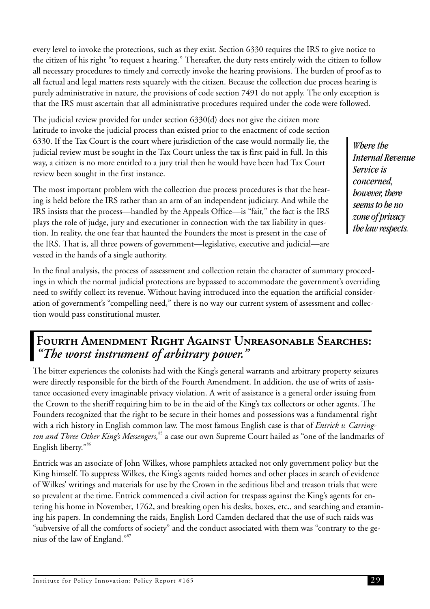<span id="page-33-0"></span>every level to invoke the protections, such as they exist. Section 6330 requires the IRS to give notice to the citizen of his right "to request a hearing." Thereafter, the duty rests entirely with the citizen to follow all necessary procedures to timely and correctly invoke the hearing provisions. The burden of proof as to all factual and legal matters rests squarely with the citizen. Because the collection due process hearing is purely administrative in nature, the provisions of code section 7491 do not apply. The only exception is that the IRS must ascertain that all administrative procedures required under the code were followed.

The judicial review provided for under section 6330(d) does not give the citizen more latitude to invoke the judicial process than existed prior to the enactment of code section 6330. If the Tax Court is the court where jurisdiction of the case would normally lie, the judicial review must be sought in the Tax Court unless the tax is first paid in full. In this way, a citizen is no more entitled to a jury trial then he would have been had Tax Court review been sought in the first instance.

The most important problem with the collection due process procedures is that the hearing is held before the IRS rather than an arm of an independent judiciary. And while the IRS insists that the process—handled by the Appeals Office—is "fair," the fact is the IRS plays the role of judge, jury and executioner in connection with the tax liability in question. In reality, the one fear that haunted the Founders the most is present in the case of the IRS. That is, all three powers of government—legislative, executive and judicial—are vested in the hands of a single authority.

In the final analysis, the process of assessment and collection retain the character of summary proceedings in which the normal judicial protections are bypassed to accommodate the government's overriding need to swiftly collect its revenue. Without having introduced into the equation the artificial consideration of government's "compelling need," there is no way our current system of assessment and collection would pass constitutional muster.

## **Fourth Amendment Right Against Unreasonable Searches:** *"The worst instrument of arbitrary power."*

The bitter experiences the colonists had with the King's general warrants and arbitrary property seizures were directly responsible for the birth of the Fourth Amendment. In addition, the use of writs of assistance occasioned every imaginable privacy violation. A writ of assistance is a general order issuing from the Crown to the sheriff requiring him to be in the aid of the King's tax collectors or other agents. The Founders recognized that the right to be secure in their homes and possessions was a fundamental right with a rich history in English common law. The most famous English case is that of *Entrick v. Carring*ton and Three Other King's Messengers,<sup>85</sup> a case our own Supreme Court hailed as "one of the landmarks of English liberty."<sup>86</sup>

Entrick was an associate of John Wilkes, whose pamphlets attacked not only government policy but the King himself. To suppress Wilkes, the King's agents raided homes and other places in search of evidence of Wilkes' writings and materials for use by the Crown in the seditious libel and treason trials that were so prevalent at the time. Entrick commenced a civil action for trespass against the King's agents for entering his home in November, 1762, and breaking open his desks, boxes, etc., and searching and examining his papers. In condemning the raids, English Lord Camden declared that the use of such raids was "subversive of all the comforts of society" and the conduct associated with them was "contrary to the genius of the law of England."<sup>87</sup>

*Where the Internal Revenue Service is concerned, however, there seems to be no zone of privacy the law respects.*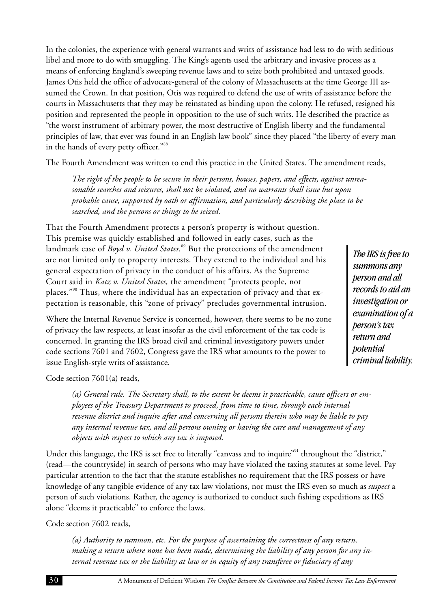In the colonies, the experience with general warrants and writs of assistance had less to do with seditious libel and more to do with smuggling. The King's agents used the arbitrary and invasive process as a means of enforcing England's sweeping revenue laws and to seize both prohibited and untaxed goods. James Otis held the office of advocate-general of the colony of Massachusetts at the time George III assumed the Crown. In that position, Otis was required to defend the use of writs of assistance before the courts in Massachusetts that they may be reinstated as binding upon the colony. He refused, resigned his position and represented the people in opposition to the use of such writs. He described the practice as "the worst instrument of arbitrary power, the most destructive of English liberty and the fundamental principles of law, that ever was found in an English law book" since they placed "the liberty of every man in the hands of every petty officer."<sup>88</sup>

The Fourth Amendment was written to end this practice in the United States. The amendment reads,

*The right of the people to be secure in their persons, houses, papers, and effects, against unreasonable searches and seizures, shall not be violated, and no warrants shall issue but upon probable cause, supported by oath or affirmation, and particularly describing the place to be searched, and the persons or things to be seized.*

That the Fourth Amendment protects a person's property is without question. This premise was quickly established and followed in early cases, such as the landmark case of *Boyd v. United States*.<sup>89</sup> But the protections of the amendment are not limited only to property interests. They extend to the individual and his general expectation of privacy in the conduct of his affairs. As the Supreme Court said in *Katz v. United States,* the amendment "protects people, not places."<sup>90</sup> Thus, where the individual has an expectation of privacy and that expectation is reasonable, this "zone of privacy" precludes governmental intrusion.

Where the Internal Revenue Service is concerned, however, there seems to be no zone of privacy the law respects, at least insofar as the civil enforcement of the tax code is concerned. In granting the IRS broad civil and criminal investigatory powers under code sections 7601 and 7602, Congress gave the IRS what amounts to the power to issue English-style writs of assistance.

*The IRS is free to summons any person and all records to aid an investigation or examination of a person's tax return and potential criminal liability.*

Code section 7601(a) reads,

*(a) General rule. The Secretary shall, to the extent he deems it practicable, cause officers or employees of the Treasury Department to proceed, from time to time, through each internal revenue district and inquire after and concerning all persons therein who may be liable to pay any internal revenue tax, and all persons owning or having the care and management of any objects with respect to which any tax is imposed.*

Under this language, the IRS is set free to literally "canvass and to inquire"<sup>91</sup> throughout the "district," (read—the countryside) in search of persons who may have violated the taxing statutes at some level. Pay particular attention to the fact that the statute establishes no requirement that the IRS possess or have knowledge of any tangible evidence of any tax law violations, nor must the IRS even so much as *suspect* a person of such violations. Rather, the agency is authorized to conduct such fishing expeditions as IRS alone "deems it practicable" to enforce the laws.

Code section 7602 reads,

*(a) Authority to summon, etc. For the purpose of ascertaining the correctness of any return, making a return where none has been made, determining the liability of any person for any internal revenue tax or the liability at law or in equity of any transferee or fiduciary of any*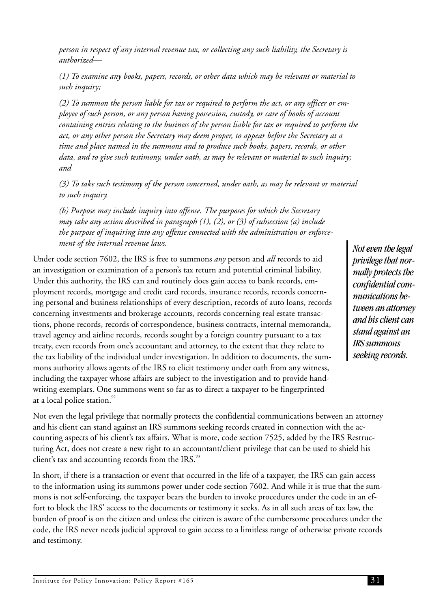<span id="page-35-0"></span>*person in respect of any internal revenue tax, or collecting any such liability, the Secretary is authorized—*

*(1) To examine any books, papers, records, or other data which may be relevant or material to such inquiry;*

*(2) To summon the person liable for tax or required to perform the act, or any officer or employee of such person, or any person having possession, custody, or care of books of account containing entries relating to the business of the person liable for tax or required to perform the act, or any other person the Secretary may deem proper, to appear before the Secretary at a time and place named in the summons and to produce such books, papers, records, or other data, and to give such testimony, under oath, as may be relevant or material to such inquiry; and*

*(3) To take such testimony of the person concerned, under oath, as may be relevant or material to such inquiry.*

*(b) Purpose may include inquiry into offense. The purposes for which the Secretary may take any action described in paragraph (1), (2), or (3) of subsection (a) include the purpose of inquiring into any offense connected with the administration or enforcement of the internal revenue laws.*

Under code section 7602, the IRS is free to summons *any* person and *all* records to aid an investigation or examination of a person's tax return and potential criminal liability. Under this authority, the IRS can and routinely does gain access to bank records, employment records, mortgage and credit card records, insurance records, records concerning personal and business relationships of every description, records of auto loans, records concerning investments and brokerage accounts, records concerning real estate transactions, phone records, records of correspondence, business contracts, internal memoranda, travel agency and airline records, records sought by a foreign country pursuant to a tax treaty, even records from one's accountant and attorney, to the extent that they relate to the tax liability of the individual under investigation. In addition to documents, the summons authority allows agents of the IRS to elicit testimony under oath from any witness, including the taxpayer whose affairs are subject to the investigation and to provide handwriting exemplars. One summons went so far as to direct a taxpayer to be fingerprinted at a local police station.<sup>92</sup>

*Not even the legal privilege that normally protects the confidential communications between an attorney and his client can stand against an IRS summons seeking records.*

Not even the legal privilege that normally protects the confidential communications between an attorney and his client can stand against an IRS summons seeking records created in connection with the accounting aspects of his client's tax affairs. What is more, code section 7525, added by the IRS Restructuring Act, does not create a new right to an accountant/client privilege that can be used to shield his client's tax and accounting records from the IRS.<sup>93</sup>

In short, if there is a transaction or event that occurred in the life of a taxpayer, the IRS can gain access to the information using its summons power under code section 7602. And while it is true that the summons is not self-enforcing, the taxpayer bears the burden to invoke procedures under the code in an effort to block the IRS' access to the documents or testimony it seeks. As in all such areas of tax law, the burden of proof is on the citizen and unless the citizen is aware of the cumbersome procedures under the code, the IRS never needs judicial approval to gain access to a limitless range of otherwise private records and testimony.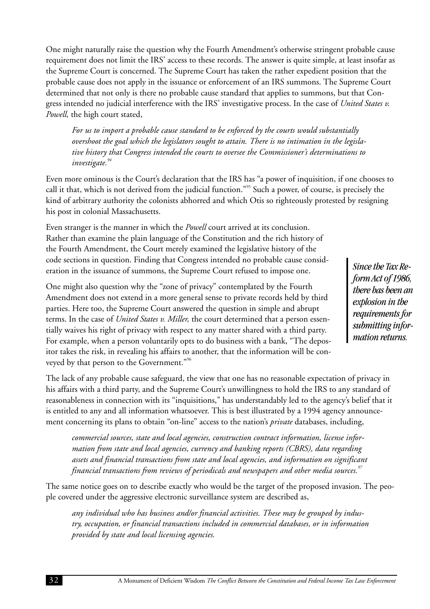One might naturally raise the question why the Fourth Amendment's otherwise stringent probable cause requirement does not limit the IRS' access to these records. The answer is quite simple, at least insofar as the Supreme Court is concerned. The Supreme Court has taken the rather expedient position that the probable cause does not apply in the issuance or enforcement of an IRS summons. The Supreme Court determined that not only is there no probable cause standard that applies to summons, but that Congress intended no judicial interference with the IRS' investigative process. In the case of *United States v. Powell,* the high court stated,

*For us to import a probable cause standard to be enforced by the courts would substantially overshoot the goal which the legislators sought to attain. There is no intimation in the legislative history that Congress intended the courts to oversee the Commissioner's determinations to investigate.<sup>94</sup>*

Even more ominous is the Court's declaration that the IRS has "a power of inquisition, if one chooses to call it that, which is not derived from the judicial function."<sup>95</sup> Such a power, of course, is precisely the kind of arbitrary authority the colonists abhorred and which Otis so righteously protested by resigning his post in colonial Massachusetts.

Even stranger is the manner in which the *Powell* court arrived at its conclusion. Rather than examine the plain language of the Constitution and the rich history of the Fourth Amendment, the Court merely examined the legislative history of the code sections in question. Finding that Congress intended no probable cause consideration in the issuance of summons, the Supreme Court refused to impose one.

One might also question why the "zone of privacy" contemplated by the Fourth Amendment does not extend in a more general sense to private records held by third parties. Here too, the Supreme Court answered the question in simple and abrupt terms. In the case of *United States v. Miller,* the court determined that a person essentially waives his right of privacy with respect to any matter shared with a third party. For example, when a person voluntarily opts to do business with a bank, "The depositor takes the risk, in revealing his affairs to another, that the information will be conveyed by that person to the Government."<sup>96</sup>

*Since the Tax Reform Act of 1986, there has been an explosion in the requirements for submitting information returns.*

The lack of any probable cause safeguard, the view that one has no reasonable expectation of privacy in his affairs with a third party, and the Supreme Court's unwillingness to hold the IRS to any standard of reasonableness in connection with its "inquisitions," has understandably led to the agency's belief that it is entitled to any and all information whatsoever. This is best illustrated by a 1994 agency announcement concerning its plans to obtain "on-line" access to the nation's *private* databases, including,

*commercial sources, state and local agencies, construction contract information, license information from state and local agencies, currency and banking reports (CBRS), data regarding assets and financial transactions from state and local agencies, and information on significant financial transactions from reviews of periodicals and newspapers and other media sources.<sup>97</sup>*

The same notice goes on to describe exactly who would be the target of the proposed invasion. The people covered under the aggressive electronic surveillance system are described as,

*any individual who has business and/or financial activities. These may be grouped by industry, occupation, or financial transactions included in commercial databases, or in information provided by state and local licensing agencies.*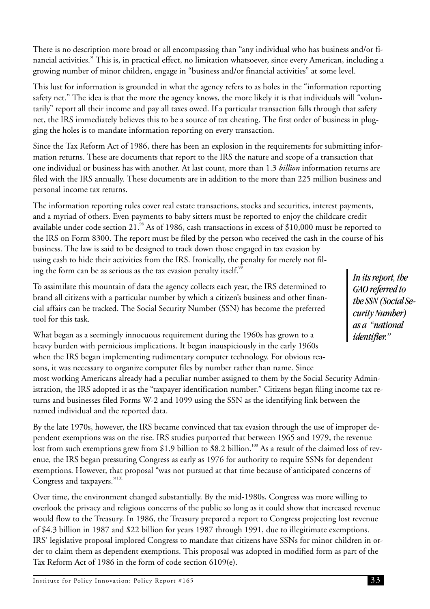There is no description more broad or all encompassing than "any individual who has business and/or financial activities." This is, in practical effect, no limitation whatsoever, since every American, including a growing number of minor children, engage in "business and/or financial activities" at some level.

This lust for information is grounded in what the agency refers to as holes in the "information reporting safety net." The idea is that the more the agency knows, the more likely it is that individuals will "voluntarily" report all their income and pay all taxes owed. If a particular transaction falls through that safety net, the IRS immediately believes this to be a source of tax cheating. The first order of business in plugging the holes is to mandate information reporting on every transaction.

Since the Tax Reform Act of 1986, there has been an explosion in the requirements for submitting information returns. These are documents that report to the IRS the nature and scope of a transaction that one individual or business has with another. At last count, more than 1.3 *billion* information returns are filed with the IRS annually. These documents are in addition to the more than 225 million business and personal income tax returns.

The information reporting rules cover real estate transactions, stocks and securities, interest payments, and a myriad of others. Even payments to baby sitters must be reported to enjoy the childcare credit available under code section 21. $^{98}$  As of 1986, cash transactions in excess of \$10,000 must be reported to the IRS on Form 8300. The report must be filed by the person who received the cash in the course of his business. The law is said to be designed to track down those engaged in tax evasion by using cash to hide their activities from the IRS. Ironically, the penalty for merely not filing the form can be as serious as the tax evasion penalty itself.<sup>95</sup>

To assimilate this mountain of data the agency collects each year, the IRS determined to brand all citizens with a particular number by which a citizen's business and other financial affairs can be tracked. The Social Security Number (SSN) has become the preferred tool for this task.

What began as a seemingly innocuous requirement during the 1960s has grown to a heavy burden with pernicious implications. It began inauspiciously in the early 1960s when the IRS began implementing rudimentary computer technology. For obvious reasons, it was necessary to organize computer files by number rather than name. Since most working Americans already had a peculiar number assigned to them by the Social Security Administration, the IRS adopted it as the "taxpayer identification number." Citizens began filing income tax returns and businesses filed Forms W-2 and 1099 using the SSN as the identifying link between the named individual and the reported data.

By the late 1970s, however, the IRS became convinced that tax evasion through the use of improper dependent exemptions was on the rise. IRS studies purported that between 1965 and 1979, the revenue lost from such exemptions grew from \$1.9 billion to \$8.2 billion.<sup>100</sup> As a result of the claimed loss of revenue, the IRS began pressuring Congress as early as 1976 for authority to require SSNs for dependent exemptions. However, that proposal "was not pursued at that time because of anticipated concerns of Congress and taxpayers."<sup>101</sup>

Over time, the environment changed substantially. By the mid-1980s, Congress was more willing to overlook the privacy and religious concerns of the public so long as it could show that increased revenue would flow to the Treasury. In 1986, the Treasury prepared a report to Congress projecting lost revenue of \$4.3 billion in 1987 and \$22 billion for years 1987 through 1991, due to illegitimate exemptions. IRS' legislative proposal implored Congress to mandate that citizens have SSNs for minor children in order to claim them as dependent exemptions. This proposal was adopted in modified form as part of the Tax Reform Act of 1986 in the form of code section 6109(e).

*In its report, the GAO referred to the SSN (Social Security Number) as a "national identifier."*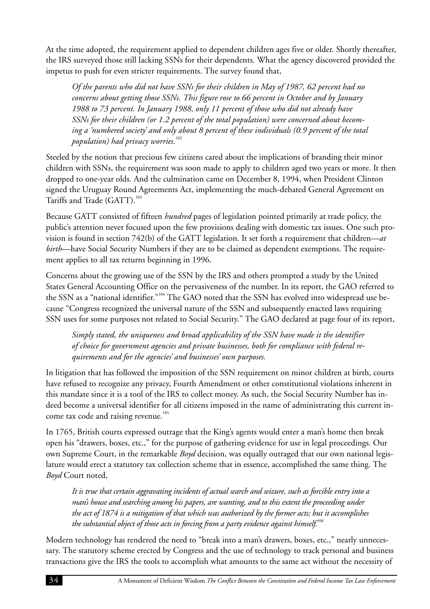At the time adopted, the requirement applied to dependent children ages five or older. Shortly thereafter, the IRS surveyed those still lacking SSNs for their dependents. What the agency discovered provided the impetus to push for even stricter requirements. The survey found that,

*Of the parents who did not have SSNs for their children in May of 1987, 62 percent had no concerns about getting those SSNs. This figure rose to 66 percent in October and by January 1988 to 73 percent. In January 1988, only 11 percent of those who did not already have SSNs for their children (or 1.2 percent of the total population) were concerned about becoming a 'numbered society' and only about 8 percent of these individuals (0.9 percent of the total population) had privacy worries.<sup>102</sup>*

Steeled by the notion that precious few citizens cared about the implications of branding their minor children with SSNs, the requirement was soon made to apply to children aged two years or more. It then dropped to one-year olds. And the culmination came on December 8, 1994, when President Clinton signed the Uruguay Round Agreements Act, implementing the much-debated General Agreement on Tariffs and Trade (GATT).<sup>103</sup>

Because GATT consisted of fifteen *hundred* pages of legislation pointed primarily at trade policy, the public's attention never focused upon the few provisions dealing with domestic tax issues. One such provision is found in section 742(b) of the GATT legislation. It set forth a requirement that children—*at birth—*have Social Security Numbers if they are to be claimed as dependent exemptions. The requirement applies to all tax returns beginning in 1996.

Concerns about the growing use of the SSN by the IRS and others prompted a study by the United States General Accounting Office on the pervasiveness of the number. In its report, the GAO referred to the SSN as a "national identifier."<sup>104</sup> The GAO noted that the SSN has evolved into widespread use because "Congress recognized the universal nature of the SSN and subsequently enacted laws requiring SSN uses for some purposes not related to Social Security." The GAO declared at page four of its report,

*Simply stated, the uniqueness and broad applicability of the SSN have made it the identifier of choice for government agencies and private businesses, both for compliance with federal requirements and for the agencies' and businesses' own purposes.*

In litigation that has followed the imposition of the SSN requirement on minor children at birth, courts have refused to recognize any privacy, Fourth Amendment or other constitutional violations inherent in this mandate since it is a tool of the IRS to collect money. As such, the Social Security Number has indeed become a universal identifier for all citizens imposed in the name of administrating this current income tax code and raising revenue.<sup>105</sup>

In 1765, British courts expressed outrage that the King's agents would enter a man's home then break open his "drawers, boxes, etc.," for the purpose of gathering evidence for use in legal proceedings. Our own Supreme Court, in the remarkable *Boyd* decision, was equally outraged that our own national legislature would erect a statutory tax collection scheme that in essence, accomplished the same thing. The *Boyd* Court noted,

*It is true that certain aggravating incidents of actual search and seizure, such as forcible entry into a man's house and searching among his papers, are wanting, and to this extent the proceeding under the act of 1874 is a mitigation of that which was authorized by the former acts; but it accomplishes the substantial object of those acts in forcing from a party evidence against himself.106*

Modern technology has rendered the need to "break into a man's drawers, boxes, etc.," nearly unnecessary. The statutory scheme erected by Congress and the use of technology to track personal and business transactions give the IRS the tools to accomplish what amounts to the same act without the necessity of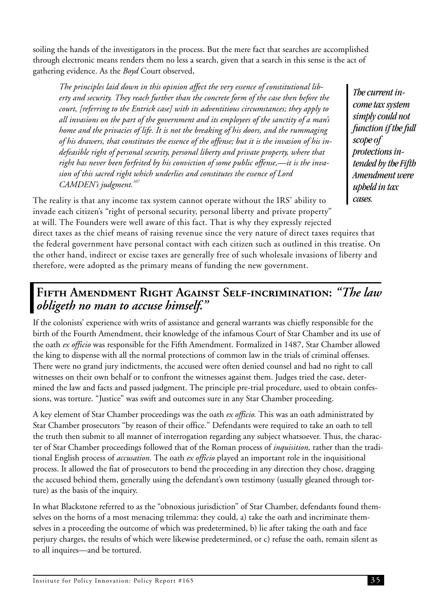soiling the hands of the investigators in the process. But the mere fact that searches are accomplished through electronic means renders them no less a search, given that a search in this sense is the act of gathering evidence. As the *Boyd* Court observed,

*The principles laid down in this opinion affect the very essence of constitutional liberty and security. They reach further than the concrete form of the case then before the court, [referring to the Entrick case] with its adventitious circumstances; they apply to all invasions on the part of the government and its employees of the sanctity of a man's home and the privacies of life. It is not the breaking of his doors, and the rummaging of his drawers, that constitutes the essence of the offense; but it is the invasion of his indefeasible right of personal security, personal liberty and private property, where that right has never been forfeited by his conviction of some public offense,—it is the invasion of this sacred right which underlies and constitutes the essence of Lord CAMDEN's judgment.<sup>107</sup>*

*The current income tax system simply could not function if the full scope of protections intended by the Fifth Amendment were upheld in tax cases.*

The reality is that any income tax system cannot operate without the IRS' ability to invade each citizen's "right of personal security, personal liberty and private property" at will. The Founders were well aware of this fact. That is why they expressly rejected direct taxes as the chief means of raising revenue since the very nature of direct taxes requires that the federal government have personal contact with each citizen such as outlined in this treatise. On the other hand, indirect or excise taxes are generally free of such wholesale invasions of liberty and therefore, were adopted as the primary means of funding the new government.

## **Fifth Amendment Right Against Self-incrimination:** *"The law obligeth no man to accuse himself."*

If the colonists' experience with writs of assistance and general warrants was chiefly responsible for the birth of the Fourth Amendment, their knowledge of the infamous Court of Star Chamber and its use of the oath *ex officio* was responsible for the Fifth Amendment. Formalized in 1487, Star Chamber allowed the king to dispense with all the normal protections of common law in the trials of criminal offenses. There were no grand jury indictments, the accused were often denied counsel and had no right to call witnesses on their own behalf or to confront the witnesses against them. Judges tried the case, determined the law and facts and passed judgment. The principle pre-trial procedure, used to obtain confessions, was torture. "Justice" was swift and outcomes sure in any Star Chamber proceeding.

A key element of Star Chamber proceedings was the oath *ex officio.* This was an oath administrated by Star Chamber prosecutors "by reason of their office." Defendants were required to take an oath to tell the truth then submit to all manner of interrogation regarding any subject whatsoever. Thus, the character of Star Chamber proceedings followed that of the Roman process of *inquisition,* rather than the traditional English process of *accusation.* The oath *ex officio* played an important role in the inquisitional process. It allowed the fiat of prosecutors to bend the proceeding in any direction they chose, dragging the accused behind them, generally using the defendant's own testimony (usually gleaned through torture) as the basis of the inquiry.

In what Blackstone referred to as the "obnoxious jurisdiction" of Star Chamber, defendants found themselves on the horns of a most menacing trilemma: they could, a) take the oath and incriminate themselves in a proceeding the outcome of which was predetermined, b) lie after taking the oath and face perjury charges, the results of which were likewise predetermined, or c) refuse the oath, remain silent as to all inquires—and be tortured.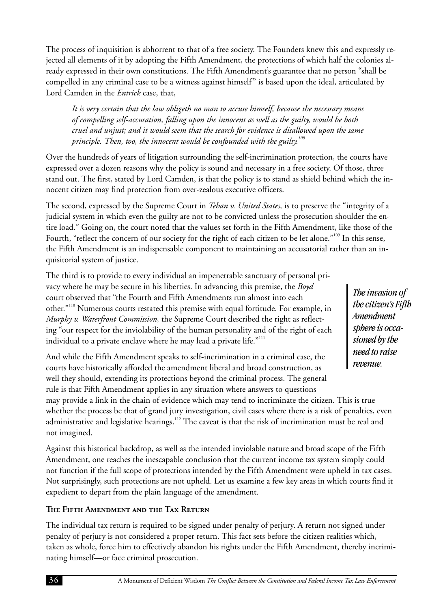The process of inquisition is abhorrent to that of a free society. The Founders knew this and expressly rejected all elements of it by adopting the Fifth Amendment, the protections of which half the colonies already expressed in their own constitutions. The Fifth Amendment's guarantee that no person "shall be compelled in any criminal case to be a witness against himself" is based upon the ideal, articulated by Lord Camden in the *Entrick* case, that,

*It is very certain that the law obligeth no man to accuse himself, because the necessary means of compelling self-accusation, falling upon the innocent as well as the guilty, would be both cruel and unjust; and it would seem that the search for evidence is disallowed upon the same principle. Then, too, the innocent would be confounded with the guilty.<sup>108</sup>*

Over the hundreds of years of litigation surrounding the self-incrimination protection, the courts have expressed over a dozen reasons why the policy is sound and necessary in a free society. Of those, three stand out. The first, stated by Lord Camden, is that the policy is to stand as shield behind which the innocent citizen may find protection from over-zealous executive officers.

The second, expressed by the Supreme Court in *Tehan v. United States,* is to preserve the "integrity of a judicial system in which even the guilty are not to be convicted unless the prosecution shoulder the entire load." Going on, the court noted that the values set forth in the Fifth Amendment, like those of the Fourth, "reflect the concern of our society for the right of each citizen to be let alone."<sup>109</sup> In this sense, the Fifth Amendment is an indispensable component to maintaining an accusatorial rather than an inquisitorial system of justice.

The third is to provide to every individual an impenetrable sanctuary of personal privacy where he may be secure in his liberties. In advancing this premise, the *Boyd* court observed that "the Fourth and Fifth Amendments run almost into each other."<sup>110</sup> Numerous courts restated this premise with equal fortitude. For example, in *Murphy v. Waterfront Commission,* the Supreme Court described the right as reflecting "our respect for the inviolability of the human personality and of the right of each individual to a private enclave where he may lead a private life."<sup>111</sup>

And while the Fifth Amendment speaks to self-incrimination in a criminal case, the courts have historically afforded the amendment liberal and broad construction, as well they should, extending its protections beyond the criminal process. The general rule is that Fifth Amendment applies in any situation where answers to questions

*The invasion of the citizen's Fifth Amendment sphere is occasioned by the need to raise revenue.*

may provide a link in the chain of evidence which may tend to incriminate the citizen. This is true whether the process be that of grand jury investigation, civil cases where there is a risk of penalties, even administrative and legislative hearings.<sup>112</sup> The caveat is that the risk of incrimination must be real and not imagined.

Against this historical backdrop, as well as the intended inviolable nature and broad scope of the Fifth Amendment, one reaches the inescapable conclusion that the current income tax system simply could not function if the full scope of protections intended by the Fifth Amendment were upheld in tax cases. Not surprisingly, such protections are not upheld. Let us examine a few key areas in which courts find it expedient to depart from the plain language of the amendment.

#### **The Fifth Amendment and the Tax Return**

The individual tax return is required to be signed under penalty of perjury. A return not signed under penalty of perjury is not considered a proper return. This fact sets before the citizen realities which, taken as whole, force him to effectively abandon his rights under the Fifth Amendment, thereby incriminating himself—or face criminal prosecution.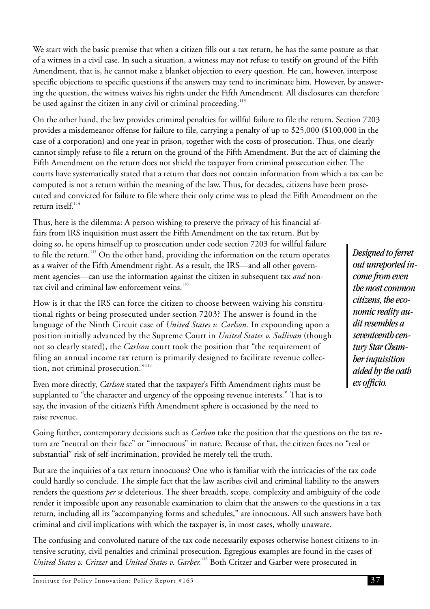<span id="page-41-0"></span>We start with the basic premise that when a citizen fills out a tax return, he has the same posture as that of a witness in a civil case. In such a situation, a witness may not refuse to testify on ground of the Fifth Amendment, that is, he cannot make a blanket objection to every question. He can, however, interpose specific objections to specific questions if the answers may tend to incriminate him. However, by answering the question, the witness waives his rights under the Fifth Amendment. All disclosures can therefore be used against the citizen in any civil or criminal proceeding. $113$ 

On the other hand, the law provides criminal penalties for willful failure to file the return. Section 7203 provides a misdemeanor offense for failure to file, carrying a penalty of up to \$25,000 (\$100,000 in the case of a corporation) and one year in prison, together with the costs of prosecution. Thus, one clearly cannot simply refuse to file a return on the ground of the Fifth Amendment. But the act of claiming the Fifth Amendment on the return does not shield the taxpayer from criminal prosecution either. The courts have systematically stated that a return that does not contain information from which a tax can be computed is not a return within the meaning of the law. Thus, for decades, citizens have been prosecuted and convicted for failure to file where their only crime was to plead the Fifth Amendment on the return itsel $f<sup>114</sup>$ 

Thus, here is the dilemma: A person wishing to preserve the privacy of his financial affairs from IRS inquisition must assert the Fifth Amendment on the tax return. But by doing so, he opens himself up to prosecution under code section 7203 for willful failure to file the return.<sup>115</sup> On the other hand, providing the information on the return operates as a waiver of the Fifth Amendment right. As a result, the IRS—and all other government agencies—can use the information against the citizen in subsequent tax *and* nontax civil and criminal law enforcement veins.<sup>116</sup>

How is it that the IRS can force the citizen to choose between waiving his constitutional rights or being prosecuted under section 7203? The answer is found in the language of the Ninth Circuit case of *United States v. Carlson.* In expounding upon a position initially advanced by the Supreme Court in *United States v. Sullivan* (though not so clearly stated), the *Carlson* court took the position that "the requirement of filing an annual income tax return is primarily designed to facilitate revenue collection, not criminal prosecution."<sup>117</sup>

Even more directly, *Carlson* stated that the taxpayer's Fifth Amendment rights must be supplanted to "the character and urgency of the opposing revenue interests." That is to say, the invasion of the citizen's Fifth Amendment sphere is occasioned by the need to raise revenue.

Going further, contemporary decisions such as *Carlson* take the position that the questions on the tax return are "neutral on their face" or "innocuous" in nature. Because of that, the citizen faces no "real or substantial" risk of self-incrimination, provided he merely tell the truth.

But are the inquiries of a tax return innocuous? One who is familiar with the intricacies of the tax code could hardly so conclude. The simple fact that the law ascribes civil and criminal liability to the answers renders the questions *per se* deleterious. The sheer breadth, scope, complexity and ambiguity of the code render it impossible upon any reasonable examination to claim that the answers to the questions in a tax return, including all its "accompanying forms and schedules," are innocuous. All such answers have both criminal and civil implications with which the taxpayer is, in most cases, wholly unaware.

The confusing and convoluted nature of the tax code necessarily exposes otherwise honest citizens to intensive scrutiny, civil penalties and criminal prosecution. Egregious examples are found in the cases of *United States v. Critzer* and *United States v. Garber.*<sup>118</sup> Both Critzer and Garber were prosecuted in

*Designed to ferret out unreported income from even the most common citizens, the economic reality audit resembles a seventeenth century Star Chamber inquisition aided by the oath ex officio.*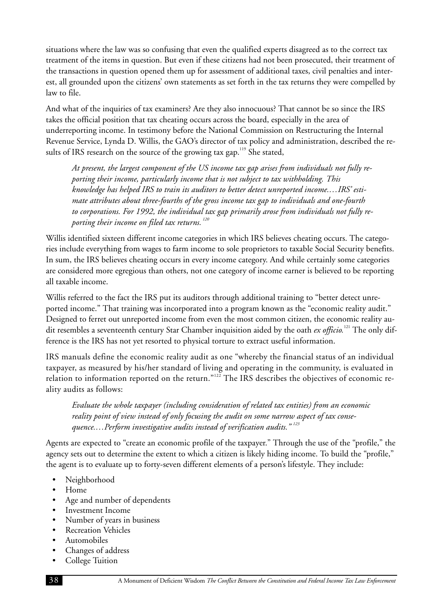<span id="page-42-0"></span>situations where the law was so confusing that even the qualified experts disagreed as to the correct tax treatment of the items in question. But even if these citizens had not been prosecuted, their treatment of the transactions in question opened them up for assessment of additional taxes, civil penalties and interest, all grounded upon the citizens' own statements as set forth in the tax returns they were compelled by law to file.

And what of the inquiries of tax examiners? Are they also innocuous? That cannot be so since the IRS takes the official position that tax cheating occurs across the board, especially in the area of underreporting income. In testimony before the National Commission on Restructuring the Internal Revenue Service, Lynda D. Willis, the GAO's director of tax policy and administration, described the results of IRS research on the source of the growing tax gap.<sup>119</sup> She stated,

*At present, the largest component of the US income tax gap arises from individuals not fully reporting their income, particularly income that is not subject to tax withholding. This knowledge has helped IRS to train its auditors to better detect unreported income.…IRS' estimate attributes about three-fourths of the gross income tax gap to individuals and one-fourth to corporations. For 1992, the individual tax gap primarily arose from individuals not fully reporting their income on filed tax returns. <sup>120</sup>*

Willis identified sixteen different income categories in which IRS believes cheating occurs. The categories include everything from wages to farm income to sole proprietors to taxable Social Security benefits. In sum, the IRS believes cheating occurs in every income category. And while certainly some categories are considered more egregious than others, not one category of income earner is believed to be reporting all taxable income.

Willis referred to the fact the IRS put its auditors through additional training to "better detect unreported income." That training was incorporated into a program known as the "economic reality audit." Designed to ferret out unreported income from even the most common citizen, the economic reality audit resembles a seventeenth century Star Chamber inquisition aided by the oath *ex officio.*<sup>121</sup> The only difference is the IRS has not yet resorted to physical torture to extract useful information.

IRS manuals define the economic reality audit as one "whereby the financial status of an individual taxpayer, as measured by his/her standard of living and operating in the community, is evaluated in relation to information reported on the return."<sup>122</sup> The IRS describes the objectives of economic reality audits as follows:

*Evaluate the whole taxpayer (including consideration of related tax entities) from an economic reality point of view instead of only focusing the audit on some narrow aspect of tax consequence.…Perform investigative audits instead of verification audits." <sup>123</sup>*

Agents are expected to "create an economic profile of the taxpayer." Through the use of the "profile," the agency sets out to determine the extent to which a citizen is likely hiding income. To build the "profile," the agent is to evaluate up to forty-seven different elements of a person's lifestyle. They include:

- Neighborhood
- Home
- Age and number of dependents
- Investment Income
- Number of years in business
- Recreation Vehicles
- Automobiles
- Changes of address
- College Tuition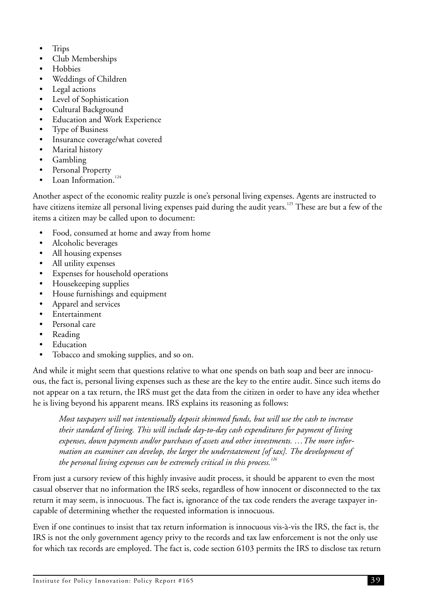- Trips
- Club Memberships
- Hobbies
- Weddings of Children
- Legal actions
- Level of Sophistication
- Cultural Background
- Education and Work Experience
- Type of Business
- Insurance coverage/what covered
- Marital history
- Gambling
- Personal Property
- Loan Information. $124$

Another aspect of the economic reality puzzle is one's personal living expenses. Agents are instructed to have citizens itemize all personal living expenses paid during the audit years.<sup>125</sup> These are but a few of the items a citizen may be called upon to document:

- Food, consumed at home and away from home
- Alcoholic beverages
- All housing expenses
- All utility expenses
- Expenses for household operations
- Housekeeping supplies
- House furnishings and equipment
- Apparel and services
- Entertainment
- Personal care
- Reading
- **Education**
- Tobacco and smoking supplies, and so on.

And while it might seem that questions relative to what one spends on bath soap and beer are innocuous, the fact is, personal living expenses such as these are the key to the entire audit. Since such items do not appear on a tax return, the IRS must get the data from the citizen in order to have any idea whether he is living beyond his apparent means. IRS explains its reasoning as follows:

*Most taxpayers will not intentionally deposit skimmed funds, but will use the cash to increase their standard of living. This will include day-to-day cash expenditures for payment of living expenses, down payments and/or purchases of assets and other investments. …The more information an examiner can develop, the larger the understatement [of tax]. The development of the personal living expenses can be extremely critical in this process.<sup>126</sup>*

From just a cursory review of this highly invasive audit process, it should be apparent to even the most casual observer that no information the IRS seeks, regardless of how innocent or disconnected to the tax return it may seem, is innocuous. The fact is, ignorance of the tax code renders the average taxpayer incapable of determining whether the requested information is innocuous.

Even if one continues to insist that tax return information is innocuous vis-à-vis the IRS, the fact is, the IRS is not the only government agency privy to the records and tax law enforcement is not the only use for which tax records are employed. The fact is, code section 6103 permits the IRS to disclose tax return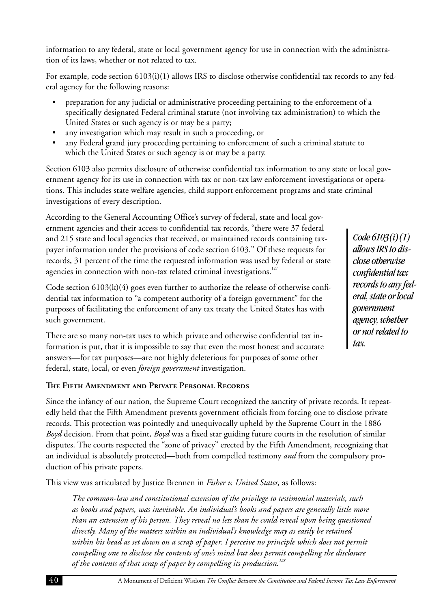information to any federal, state or local government agency for use in connection with the administration of its laws, whether or not related to tax.

For example, code section 6103(i)(1) allows IRS to disclose otherwise confidential tax records to any federal agency for the following reasons:

- preparation for any judicial or administrative proceeding pertaining to the enforcement of a specifically designated Federal criminal statute (not involving tax administration) to which the United States or such agency is or may be a party;
- any investigation which may result in such a proceeding, or
- any Federal grand jury proceeding pertaining to enforcement of such a criminal statute to which the United States or such agency is or may be a party.

Section 6103 also permits disclosure of otherwise confidential tax information to any state or local government agency for its use in connection with tax or non-tax law enforcement investigations or operations. This includes state welfare agencies, child support enforcement programs and state criminal investigations of every description.

According to the General Accounting Office's survey of federal, state and local government agencies and their access to confidential tax records, "there were 37 federal and 215 state and local agencies that received, or maintained records containing taxpayer information under the provisions of code section 6103." Of these requests for records, 31 percent of the time the requested information was used by federal or state agencies in connection with non-tax related criminal investigations.<sup>127</sup>

Code section  $6103(k)(4)$  goes even further to authorize the release of otherwise confidential tax information to "a competent authority of a foreign government" for the purposes of facilitating the enforcement of any tax treaty the United States has with such government.

There are so many non-tax uses to which private and otherwise confidential tax information is put, that it is impossible to say that even the most honest and accurate answers—for tax purposes—are not highly deleterious for purposes of some other federal, state, local, or even *foreign government* investigation.

#### **The Fifth Amendment and Private Personal Records**

Since the infancy of our nation, the Supreme Court recognized the sanctity of private records. It repeatedly held that the Fifth Amendment prevents government officials from forcing one to disclose private records. This protection was pointedly and unequivocally upheld by the Supreme Court in the 1886 *Boyd* decision. From that point, *Boyd* was a fixed star guiding future courts in the resolution of similar disputes. The courts respected the "zone of privacy" erected by the Fifth Amendment, recognizing that an individual is absolutely protected—both from compelled testimony *and* from the compulsory production of his private papers.

This view was articulated by Justice Brennen in *Fisher v. United States,* as follows:

*The common-law and constitutional extension of the privilege to testimonial materials, such as books and papers, was inevitable. An individual's books and papers are generally little more than an extension of his person. They reveal no less than he could reveal upon being questioned directly. Many of the matters within an individual's knowledge may as easily be retained within his head as set down on a scrap of paper. I perceive no principle which does not permit compelling one to disclose the contents of one's mind but does permit compelling the disclosure of the contents of that scrap of paper by compelling its production.<sup>128</sup>*

*Code 6103(i)(1) allows IRS to disclose otherwise confidential tax records to any federal, state or local government agency, whether or not related to tax.*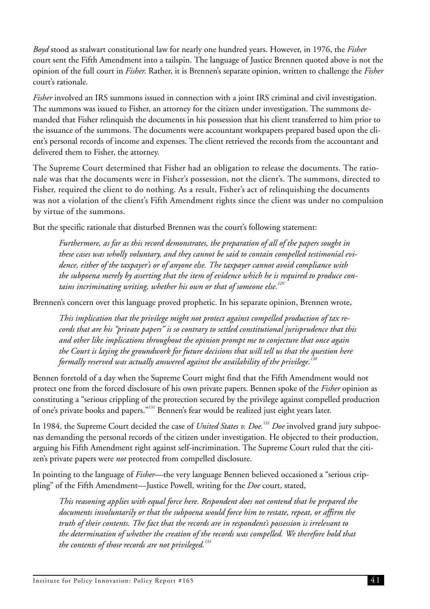*Boyd* stood as stalwart constitutional law for nearly one hundred years. However, in 1976, the *Fisher* court sent the Fifth Amendment into a tailspin. The language of Justice Brennen quoted above is not the opinion of the full court in *Fisher.* Rather, it is Brennen's separate opinion, written to challenge the *Fisher* court's rationale.

*Fisher* involved an IRS summons issued in connection with a joint IRS criminal and civil investigation. The summons was issued to Fisher, an attorney for the citizen under investigation. The summons demanded that Fisher relinquish the documents in his possession that his client transferred to him prior to the issuance of the summons. The documents were accountant workpapers prepared based upon the client's personal records of income and expenses. The client retrieved the records from the accountant and delivered them to Fisher, the attorney.

The Supreme Court determined that Fisher had an obligation to release the documents. The rationale was that the documents were in Fisher's possession, not the client's. The summons, directed to Fisher, required the client to do nothing. As a result, Fisher's act of relinquishing the documents was not a violation of the client's Fifth Amendment rights since the client was under no compulsion by virtue of the summons.

But the specific rationale that disturbed Brennen was the court's following statement:

*Furthermore, as far as this record demonstrates, the preparation of all of the papers sought in these cases was wholly voluntary, and they cannot be said to contain compelled testimonial evidence, either of the taxpayer's or of anyone else. The taxpayer cannot avoid compliance with the subpoena merely by asserting that the item of evidence which he is required to produce contains incriminating writing, whether his own or that of someone else.<sup>129</sup>*

Brennen's concern over this language proved prophetic. In his separate opinion, Brennen wrote,

*This implication that the privilege might not protect against compelled production of tax records that are his "private papers" is so contrary to settled constitutional jurisprudence that this and other like implications throughout the opinion prompt me to conjecture that once again the Court is laying the groundwork for future decisions that will tell us that the question here formally reserved was actually answered against the availability of the privilege.<sup>130</sup>*

Bennen foretold of a day when the Supreme Court might find that the Fifth Amendment would not protect one from the forced disclosure of his own private papers. Bennen spoke of the *Fisher* opinion as constituting a "serious crippling of the protection secured by the privilege against compelled production of one's private books and papers."<sup>131</sup> Bennen's fear would be realized just eight years later.

In 1984, the Supreme Court decided the case of *United States v. Doe.*<sup>132</sup> *Doe* involved grand jury subpoenas demanding the personal records of the citizen under investigation. He objected to their production, arguing his Fifth Amendment right against self-incrimination. The Supreme Court ruled that the citizen's private papers were *not* protected from compelled disclosure.

In pointing to the language of *Fisher*—the very language Bennen believed occasioned a "serious crippling" of the Fifth Amendment—Justice Powell, writing for the *Doe* court, stated,

*This reasoning applies with equal force here. Respondent does not contend that he prepared the documents involuntarily or that the subpoena would force him to restate, repeat, or affirm the truth of their contents. The fact that the records are in respondent's possession is irrelevant to the determination of whether the creation of the records was compelled. We therefore hold that the contents of those records are not privileged.<sup>133</sup>*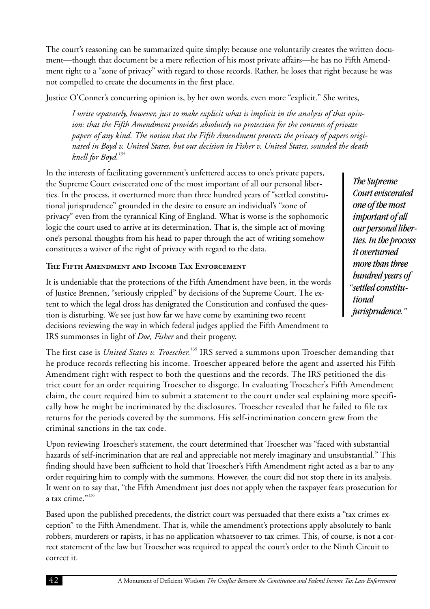<span id="page-46-0"></span>The court's reasoning can be summarized quite simply: because one voluntarily creates the written document—though that document be a mere reflection of his most private affairs—he has no Fifth Amendment right to a "zone of privacy" with regard to those records. Rather, he loses that right because he was not compelled to create the documents in the first place.

Justice O'Conner's concurring opinion is, by her own words, even more "explicit." She writes,

*I write separately, however, just to make explicit what is implicit in the analysis of that opinion: that the Fifth Amendment provides absolutely no protection for the contents of private papers of any kind. The notion that the Fifth Amendment protects the privacy of papers originated in Boyd v. United States, but our decision in Fisher v. United States, sounded the death knell for Boyd.<sup>134</sup>*

In the interests of facilitating government's unfettered access to one's private papers, the Supreme Court eviscerated one of the most important of all our personal liberties. In the process, it overturned more than three hundred years of "settled constitutional jurisprudence" grounded in the desire to ensure an individual's "zone of privacy" even from the tyrannical King of England. What is worse is the sophomoric logic the court used to arrive at its determination. That is, the simple act of moving one's personal thoughts from his head to paper through the act of writing somehow constitutes a waiver of the right of privacy with regard to the data.

#### **The Fifth Amendment and Income Tax Enforcement**

It is undeniable that the protections of the Fifth Amendment have been, in the words of Justice Brennen, "seriously crippled" by decisions of the Supreme Court. The extent to which the legal dross has denigrated the Constitution and confused the question is disturbing. We see just how far we have come by examining two recent decisions reviewing the way in which federal judges applied the Fifth Amendment to IRS summonses in light of *Doe, Fisher* and their progeny.

The first case is *United States v. Troescher.*<sup>135</sup> IRS served a summons upon Troescher demanding that he produce records reflecting his income. Troescher appeared before the agent and asserted his Fifth Amendment right with respect to both the questions and the records. The IRS petitioned the district court for an order requiring Troescher to disgorge. In evaluating Troescher's Fifth Amendment claim, the court required him to submit a statement to the court under seal explaining more specifically how he might be incriminated by the disclosures. Troescher revealed that he failed to file tax returns for the periods covered by the summons. His self-incrimination concern grew from the criminal sanctions in the tax code.

Upon reviewing Troescher's statement, the court determined that Troescher was "faced with substantial hazards of self-incrimination that are real and appreciable not merely imaginary and unsubstantial." This finding should have been sufficient to hold that Troescher's Fifth Amendment right acted as a bar to any order requiring him to comply with the summons. However, the court did not stop there in its analysis. It went on to say that, "the Fifth Amendment just does not apply when the taxpayer fears prosecution for a tax crime."<sup>136</sup>

Based upon the published precedents, the district court was persuaded that there exists a "tax crimes exception" to the Fifth Amendment. That is, while the amendment's protections apply absolutely to bank robbers, murderers or rapists, it has no application whatsoever to tax crimes. This, of course, is not a correct statement of the law but Troescher was required to appeal the court's order to the Ninth Circuit to correct it.

*The Supreme Court eviscerated one of the most important of all our personal liberties. In the process it overturned more than three hundred years of "settled constitutional jurisprudence."*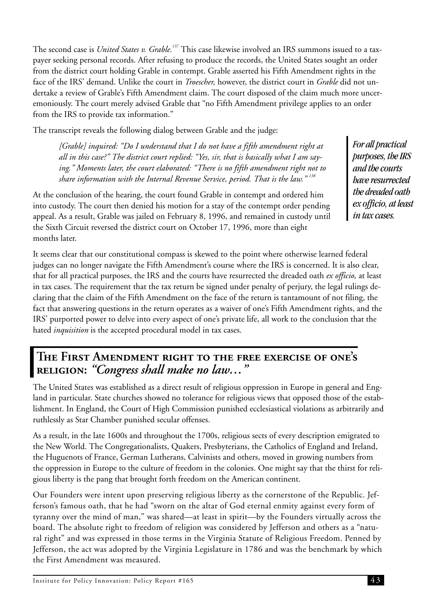The second case is *United States v. Grable*.<sup>137</sup> This case likewise involved an IRS summons issued to a taxpayer seeking personal records. After refusing to produce the records, the United States sought an order from the district court holding Grable in contempt. Grable asserted his Fifth Amendment rights in the face of the IRS' demand. Unlike the court in *Troescher,* however, the district court in *Grable* did not undertake a review of Grable's Fifth Amendment claim. The court disposed of the claim much more unceremoniously. The court merely advised Grable that "no Fifth Amendment privilege applies to an order from the IRS to provide tax information."

The transcript reveals the following dialog between Grable and the judge:

*[Grable] inquired: "Do I understand that I do not have a fifth amendment right at all in this case?" The district court replied: "Yes, sir, that is basically what I am saying." Moments later, the court elaborated: "There is no fifth amendment right not to share information with the Internal Revenue Service, period. That is the law." <sup>138</sup>*

At the conclusion of the hearing, the court found Grable in contempt and ordered him into custody. The court then denied his motion for a stay of the contempt order pending appeal. As a result, Grable was jailed on February 8, 1996, and remained in custody until the Sixth Circuit reversed the district court on October 17, 1996, more than eight months later.

*For all practical purposes, the IRS and the courts have resurrected the dreaded oath ex officio, at least in tax cases.*

It seems clear that our constitutional compass is skewed to the point where otherwise learned federal judges can no longer navigate the Fifth Amendment's course where the IRS is concerned. It is also clear, that for all practical purposes, the IRS and the courts have resurrected the dreaded oath *ex officio,* at least in tax cases. The requirement that the tax return be signed under penalty of perjury, the legal rulings declaring that the claim of the Fifth Amendment on the face of the return is tantamount of not filing, the fact that answering questions in the return operates as a waiver of one's Fifth Amendment rights, and the IRS' purported power to delve into every aspect of one's private life, all work to the conclusion that the hated *inquisition* is the accepted procedural model in tax cases.

### **The First Amendment right to the free exercise of one's religion:** *"Congress shall make no law…"*

The United States was established as a direct result of religious oppression in Europe in general and England in particular. State churches showed no tolerance for religious views that opposed those of the establishment. In England, the Court of High Commission punished ecclesiastical violations as arbitrarily and ruthlessly as Star Chamber punished secular offenses.

As a result, in the late 1600s and throughout the 1700s, religious sects of every description emigrated to the New World. The Congregationalists, Quakers, Presbyterians, the Catholics of England and Ireland, the Huguenots of France, German Lutherans, Calvinists and others, moved in growing numbers from the oppression in Europe to the culture of freedom in the colonies. One might say that the thirst for religious liberty is the pang that brought forth freedom on the American continent.

Our Founders were intent upon preserving religious liberty as the cornerstone of the Republic. Jefferson's famous oath, that he had "sworn on the altar of God eternal enmity against every form of tyranny over the mind of man," was shared—at least in spirit—by the Founders virtually across the board. The absolute right to freedom of religion was considered by Jefferson and others as a "natural right" and was expressed in those terms in the Virginia Statute of Religious Freedom. Penned by Jefferson, the act was adopted by the Virginia Legislature in 1786 and was the benchmark by which the First Amendment was measured.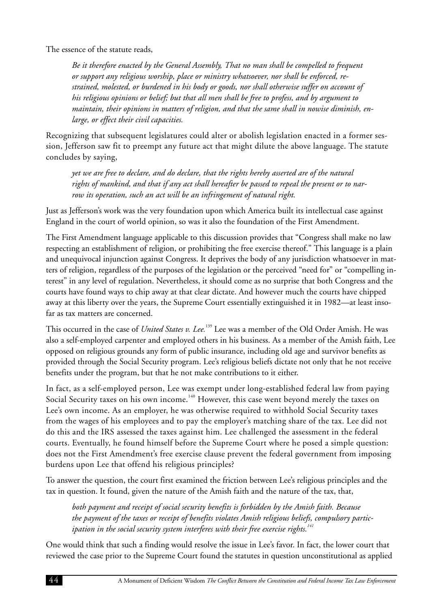<span id="page-48-0"></span>The essence of the statute reads,

*Be it therefore enacted by the General Assembly, That no man shall be compelled to frequent or support any religious worship, place or ministry whatsoever, nor shall be enforced, restrained, molested, or burdened in his body or goods, nor shall otherwise suffer on account of his religious opinions or belief; but that all men shall be free to profess, and by argument to maintain, their opinions in matters of religion, and that the same shall in nowise diminish, enlarge, or effect their civil capacities.*

Recognizing that subsequent legislatures could alter or abolish legislation enacted in a former session, Jefferson saw fit to preempt any future act that might dilute the above language. The statute concludes by saying,

*yet we are free to declare, and do declare, that the rights hereby asserted are of the natural rights of mankind, and that if any act shall hereafter be passed to repeal the present or to narrow its operation, such an act will be an infringement of natural right.*

Just as Jefferson's work was the very foundation upon which America built its intellectual case against England in the court of world opinion, so was it also the foundation of the First Amendment.

The First Amendment language applicable to this discussion provides that "Congress shall make no law respecting an establishment of religion, or prohibiting the free exercise thereof." This language is a plain and unequivocal injunction against Congress. It deprives the body of any jurisdiction whatsoever in matters of religion, regardless of the purposes of the legislation or the perceived "need for" or "compelling interest" in any level of regulation. Nevertheless, it should come as no surprise that both Congress and the courts have found ways to chip away at that clear dictate. And however much the courts have chipped away at this liberty over the years, the Supreme Court essentially extinguished it in 1982—at least insofar as tax matters are concerned.

This occurred in the case of *United States v. Lee*.<sup>139</sup> Lee was a member of the Old Order Amish. He was also a self-employed carpenter and employed others in his business. As a member of the Amish faith, Lee opposed on religious grounds any form of public insurance, including old age and survivor benefits as provided through the Social Security program. Lee's religious beliefs dictate not only that he not receive benefits under the program, but that he not make contributions to it either.

In fact, as a self-employed person, Lee was exempt under long-established federal law from paying Social Security taxes on his own income.<sup>140</sup> However, this case went beyond merely the taxes on Lee's own income. As an employer, he was otherwise required to withhold Social Security taxes from the wages of his employees and to pay the employer's matching share of the tax. Lee did not do this and the IRS assessed the taxes against him. Lee challenged the assessment in the federal courts. Eventually, he found himself before the Supreme Court where he posed a simple question: does not the First Amendment's free exercise clause prevent the federal government from imposing burdens upon Lee that offend his religious principles?

To answer the question, the court first examined the friction between Lee's religious principles and the tax in question. It found, given the nature of the Amish faith and the nature of the tax, that,

*both payment and receipt of social security benefits is forbidden by the Amish faith. Because the payment of the taxes or receipt of benefits violates Amish religious beliefs, compulsory participation in the social security system interferes with their free exercise rights.<sup>141</sup>*

One would think that such a finding would resolve the issue in Lee's favor. In fact, the lower court that reviewed the case prior to the Supreme Court found the statutes in question unconstitutional as applied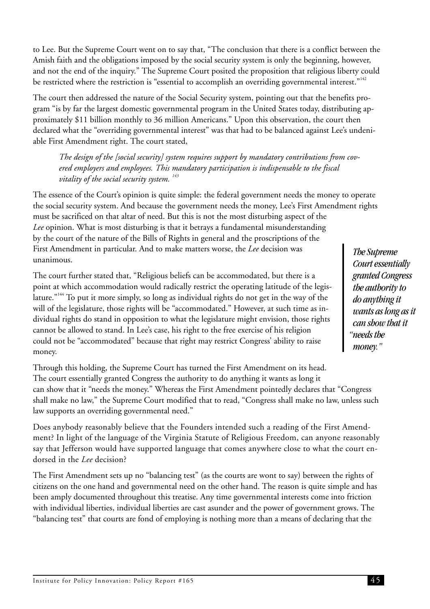<span id="page-49-0"></span>to Lee. But the Supreme Court went on to say that, "The conclusion that there is a conflict between the Amish faith and the obligations imposed by the social security system is only the beginning, however, and not the end of the inquiry." The Supreme Court posited the proposition that religious liberty could be restricted where the restriction is "essential to accomplish an overriding governmental interest."<sup>142</sup>

The court then addressed the nature of the Social Security system, pointing out that the benefits program "is by far the largest domestic governmental program in the United States today, distributing approximately \$11 billion monthly to 36 million Americans." Upon this observation, the court then declared what the "overriding governmental interest" was that had to be balanced against Lee's undeniable First Amendment right. The court stated,

*The design of the [social security] system requires support by mandatory contributions from covered employers and employees. This mandatory participation is indispensable to the fiscal vitality of the social security system. <sup>143</sup>*

The essence of the Court's opinion is quite simple: the federal government needs the money to operate the social security system. And because the government needs the money, Lee's First Amendment rights must be sacrificed on that altar of need. But this is not the most disturbing aspect of the *Lee* opinion. What is most disturbing is that it betrays a fundamental misunderstanding by the court of the nature of the Bills of Rights in general and the proscriptions of the First Amendment in particular. And to make matters worse, the *Lee* decision was unanimous.

The court further stated that, "Religious beliefs can be accommodated, but there is a point at which accommodation would radically restrict the operating latitude of the legislature.<sup>"144</sup> To put it more simply, so long as individual rights do not get in the way of the will of the legislature, those rights will be "accommodated." However, at such time as individual rights do stand in opposition to what the legislature might envision, those rights cannot be allowed to stand. In Lee's case, his right to the free exercise of his religion could not be "accommodated" because that right may restrict Congress' ability to raise money.

Through this holding, the Supreme Court has turned the First Amendment on its head. The court essentially granted Congress the authority to do anything it wants as long it can show that it "needs the money." Whereas the First Amendment pointedly declares that "Congress shall make no law," the Supreme Court modified that to read, "Congress shall make no law, unless such law supports an overriding governmental need."

Does anybody reasonably believe that the Founders intended such a reading of the First Amendment? In light of the language of the Virginia Statute of Religious Freedom, can anyone reasonably say that Jefferson would have supported language that comes anywhere close to what the court endorsed in the *Lee* decision?

The First Amendment sets up no "balancing test" (as the courts are wont to say) between the rights of citizens on the one hand and governmental need on the other hand. The reason is quite simple and has been amply documented throughout this treatise. Any time governmental interests come into friction with individual liberties, individual liberties are cast asunder and the power of government grows. The "balancing test" that courts are fond of employing is nothing more than a means of declaring that the

*The Supreme Court essentially granted Congress the authority to do anything it wants as long as it can show that it "needs the money."*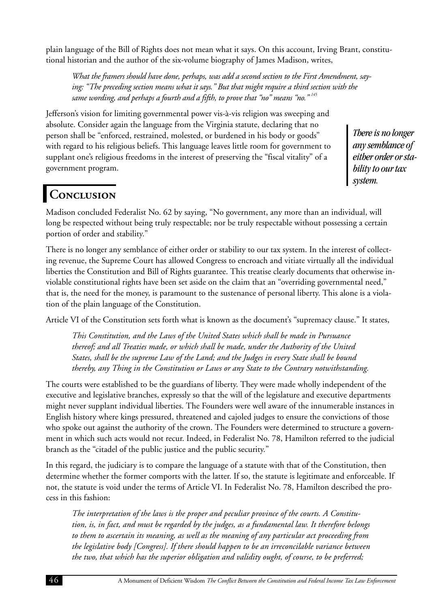plain language of the Bill of Rights does not mean what it says. On this account, Irving Brant, constitutional historian and the author of the six-volume biography of James Madison, writes,

*What the framers should have done, perhaps, was add a second section to the First Amendment, saying: "The preceding section means what it says." But that might require a third section with the same wording, and perhaps a fourth and a fifth, to prove that "no" means "no." <sup>145</sup>*

Jefferson's vision for limiting governmental power vis-à-vis religion was sweeping and absolute. Consider again the language from the Virginia statute, declaring that no person shall be "enforced, restrained, molested, or burdened in his body or goods" with regard to his religious beliefs. This language leaves little room for government to supplant one's religious freedoms in the interest of preserving the "fiscal vitality" of a government program.

*There is no longer any semblance of either order or stability to our tax system.*

## **Conclusion**

Madison concluded Federalist No. 62 by saying, "No government, any more than an individual, will long be respected without being truly respectable; nor be truly respectable without possessing a certain portion of order and stability."

There is no longer any semblance of either order or stability to our tax system. In the interest of collecting revenue, the Supreme Court has allowed Congress to encroach and vitiate virtually all the individual liberties the Constitution and Bill of Rights guarantee. This treatise clearly documents that otherwise inviolable constitutional rights have been set aside on the claim that an "overriding governmental need," that is, the need for the money, is paramount to the sustenance of personal liberty. This alone is a violation of the plain language of the Constitution.

Article VI of the Constitution sets forth what is known as the document's "supremacy clause." It states,

*This Constitution, and the Laws of the United States which shall be made in Pursuance thereof; and all Treaties made, or which shall be made, under the Authority of the United States, shall be the supreme Law of the Land; and the Judges in every State shall be bound thereby, any Thing in the Constitution or Laws or any State to the Contrary notwithstanding.*

The courts were established to be the guardians of liberty. They were made wholly independent of the executive and legislative branches, expressly so that the will of the legislature and executive departments might never supplant individual liberties. The Founders were well aware of the innumerable instances in English history where kings pressured, threatened and cajoled judges to ensure the convictions of those who spoke out against the authority of the crown. The Founders were determined to structure a government in which such acts would not recur. Indeed, in Federalist No. 78, Hamilton referred to the judicial branch as the "citadel of the public justice and the public security."

In this regard, the judiciary is to compare the language of a statute with that of the Constitution, then determine whether the former comports with the latter. If so, the statute is legitimate and enforceable. If not, the statute is void under the terms of Article VI. In Federalist No. 78, Hamilton described the process in this fashion:

*The interpretation of the laws is the proper and peculiar province of the courts. A Constitution, is, in fact, and must be regarded by the judges, as a fundamental law. It therefore belongs to them to ascertain its meaning, as well as the meaning of any particular act proceeding from the legislative body [Congress]. If there should happen to be an irreconcilable variance between the two, that which has the superior obligation and validity ought, of course, to be preferred;*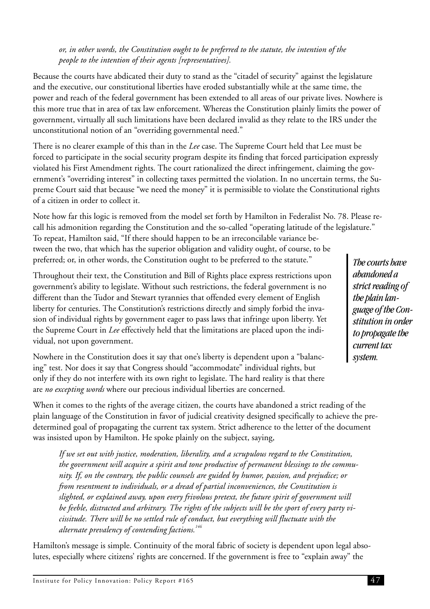#### *or, in other words, the Constitution ought to be preferred to the statute, the intention of the people to the intention of their agents [representatives].*

Because the courts have abdicated their duty to stand as the "citadel of security" against the legislature and the executive, our constitutional liberties have eroded substantially while at the same time, the power and reach of the federal government has been extended to all areas of our private lives. Nowhere is this more true that in area of tax law enforcement. Whereas the Constitution plainly limits the power of government, virtually all such limitations have been declared invalid as they relate to the IRS under the unconstitutional notion of an "overriding governmental need."

There is no clearer example of this than in the *Lee* case. The Supreme Court held that Lee must be forced to participate in the social security program despite its finding that forced participation expressly violated his First Amendment rights. The court rationalized the direct infringement, claiming the government's "overriding interest" in collecting taxes permitted the violation. In no uncertain terms, the Supreme Court said that because "we need the money" it is permissible to violate the Constitutional rights of a citizen in order to collect it.

Note how far this logic is removed from the model set forth by Hamilton in Federalist No. 78. Please recall his admonition regarding the Constitution and the so-called "operating latitude of the legislature." To repeat, Hamilton said, "If there should happen to be an irreconcilable variance between the two, that which has the superior obligation and validity ought, of course, to be preferred; or, in other words, the Constitution ought to be preferred to the statute."

Throughout their text, the Constitution and Bill of Rights place express restrictions upon government's ability to legislate. Without such restrictions, the federal government is no different than the Tudor and Stewart tyrannies that offended every element of English liberty for centuries. The Constitution's restrictions directly and simply forbid the invasion of individual rights by government eager to pass laws that infringe upon liberty. Yet the Supreme Court in *Lee* effectively held that the limitations are placed upon the individual, not upon government.

Nowhere in the Constitution does it say that one's liberty is dependent upon a "balancing" test. Nor does it say that Congress should "accommodate" individual rights, but only if they do not interfere with its own right to legislate. The hard reality is that there are *no excepting words* where our precious individual liberties are concerned.

When it comes to the rights of the average citizen, the courts have abandoned a strict reading of the plain language of the Constitution in favor of judicial creativity designed specifically to achieve the predetermined goal of propagating the current tax system. Strict adherence to the letter of the document was insisted upon by Hamilton. He spoke plainly on the subject, saying,

*If we set out with justice, moderation, liberality, and a scrupulous regard to the Constitution, the government will acquire a spirit and tone productive of permanent blessings to the community. If, on the contrary, the public counsels are guided by humor, passion, and prejudice; or from resentment to individuals, or a dread of partial inconveniences, the Constitution is slighted, or explained away, upon every frivolous pretext, the future spirit of government will be feeble, distracted and arbitrary. The rights of the subjects will be the sport of every party vicissitude. There will be no settled rule of conduct, but everything will fluctuate with the alternate prevalency of contending factions.<sup>146</sup>*

Hamilton's message is simple. Continuity of the moral fabric of society is dependent upon legal absolutes, especially where citizens' rights are concerned. If the government is free to "explain away" the

*The courts have abandoned a strict reading of the plain language of the Constitution in order to propagate the current tax system.*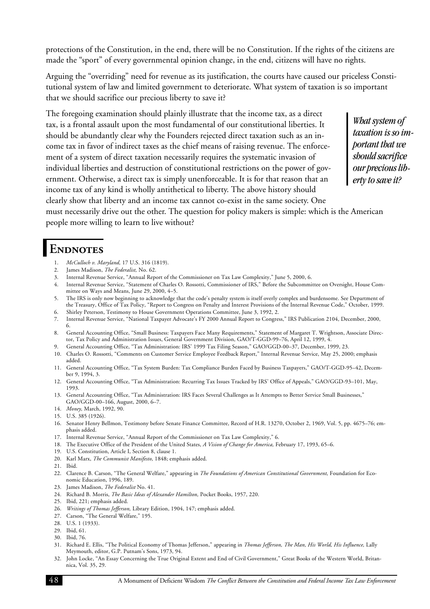<span id="page-52-0"></span>protections of the Constitution, in the end, there will be no Constitution. If the rights of the citizens are made the "sport" of every governmental opinion change, in the end, citizens will have no rights.

Arguing the "overriding" need for revenue as its justification, the courts have caused our priceless Constitutional system of law and limited government to deteriorate. What system of taxation is so important that we should sacrifice our precious liberty to save it?

The foregoing examination should plainly illustrate that the income tax, as a direct tax, is a frontal assault upon the most fundamental of our constitutional liberties. It should be abundantly clear why the Founders rejected direct taxation such as an income tax in favor of indirect taxes as the chief means of raising revenue. The enforcement of a system of direct taxation necessarily requires the systematic invasion of individual liberties and destruction of constitutional restrictions on the power of government. Otherwise, a direct tax is simply unenforceable. It is for that reason that an income tax of any kind is wholly antithetical to liberty. The above history should clearly show that liberty and an income tax cannot co-exist in the same society. One must necessarily drive out the other. The question for policy makers is simple: which is the American

*What system of taxation is so important that we should sacrifice our precious liberty to save it?*

people more willing to learn to live without?

### ENDNOTES

- 1. *McCulloch v. Maryland,* 17 U.S. 316 (1819).
- 2. James Madison, *The Federalist,* No. 62.
- 3. Internal Revenue Service, "Annual Report of the Commissioner on Tax Law Complexity," June 5, 2000, 6.
- 4. Internal Revenue Service, "Statement of Charles O. Rossotti, Commissioner of IRS," Before the Subcommittee on Oversight, House Committee on Ways and Means, June 29, 2000, 4–5.
- 5. The IRS is only now beginning to acknowledge that the code's penalty system is itself overly complex and burdensome. See Department of the Treasury, Office of Tax Policy, "Report to Congress on Penalty and Interest Provisions of the Internal Revenue Code," October, 1999.
- 6. Shirley Peterson, Testimony to House Government Operations Committee, June 3, 1992, 2.
- 7. Internal Revenue Service, "National Taxpayer Advocate's FY 2000 Annual Report to Congress," IRS Publication 2104, December, 2000, 6.
- 8. General Accounting Office, "Small Business: Taxpayers Face Many Requirements," Statement of Margaret T. Wrightson, Associate Director, Tax Policy and Administration Issues, General Government Division, GAO/T-GGD-99–76, April 12, 1999, 4.
- 9. General Accounting Office, "Tax Administration: IRS' 1999 Tax Filing Season," GAO/GGD-00–37, December, 1999, 23.
- 10. Charles O. Rossotti, "Comments on Customer Service Employee Feedback Report," Internal Revenue Service, May 25, 2000; emphasis added.
- 11. General Accounting Office, "Tax System Burden: Tax Compliance Burden Faced by Business Taxpayers," GAO/T-GGD-95–42, December 9, 1994, 3.
- 12. General Accounting Office, "Tax Administration: Recurring Tax Issues Tracked by IRS' Office of Appeals," GAO/GGD-93–101, May, 1993.
- 13. General Accounting Office, "Tax Administration: IRS Faces Several Challenges as It Attempts to Better Service Small Businesses," GAO/GGD-00–166, August, 2000, 6–7.
- 14. *Money,* March, 1992, 90.
- 15. U.S. 385 (1926).
- 16. Senator Henry Bellmon, Testimony before Senate Finance Committee, Record of H.R. 13270, October 2, 1969, Vol. 5, pp. 4675–76; emphasis added.
- 17. Internal Revenue Service, "Annual Report of the Commissioner on Tax Law Complexity," 6.
- 18. The Executive Office of the President of the United States, *A Vision of Change for America,* February 17, 1993, 65–6.
- 19. U.S. Constitution, Article I, Section 8, clause 1.
- 20. Karl Marx, *The Communist Manifesto,* 1848; emphasis added.
- 21. Ibid.
- 22. Clarence B. Carson, "The General Welfare," appearing in *The Foundations of American Constitutional Government,* Foundation for Economic Education, 1996, 189.
- 23. James Madison, *The Federalist* No. 41.
- 24. Richard B. Morris, *The Basic Ideas of Alexander Hamilton,* Pocket Books, 1957, 220.
- 25. Ibid, 221; emphasis added.
- 26. *Writings of Thomas Jefferson,* Library Edition, 1904, 147; emphasis added.
- 27. Carson, "The General Welfare," 195.
- 28. U.S. 1 (1933).
- 29. Ibid, 61.
- 30. Ibid, 76.
- 31. Richard E. Ellis, "The Political Economy of Thomas Jefferson," appearing in *Thomas Jefferson, The Man, His World, His Influence,* Lally Meymouth, editor, G.P. Putnam's Sons, 1973, 94.
- 32. John Locke, "An Essay Concerning the True Original Extent and End of Civil Government," Great Books of the Western World, Britannica, Vol. 35, 29.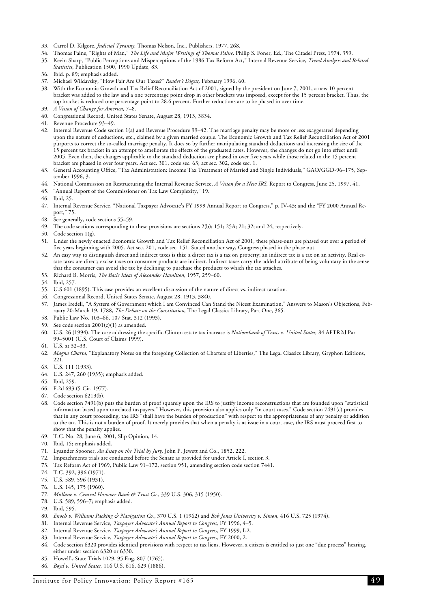- 33. Carrol D. Kilgore, *Judicial Tyranny,* Thomas Nelson, Inc., Publishers, 1977, 268.
- 34. Thomas Paine, "Rights of Man," *The Life and Major Writings of Thomas Paine,* Philip S. Foner, Ed., The Citadel Press, 1974, 359.
- 35. Kevin Sharp, "Public Perceptions and Misperceptions of the 1986 Tax Reform Act," Internal Revenue Service, *Trend Analysis and Related Statistics,* Publication 1500, 1990 Update, 83.
- 36. Ibid. p. 89; emphasis added.
- 37. Michael Wildavsky, "How Fair Are Our Taxes?" *Reader's Digest,* February 1996, 60.
- 38. With the Economic Growth and Tax Relief Reconciliation Act of 2001, signed by the president on June 7, 2001, a new 10 percent bracket was added to the law and a one percentage point drop in other brackets was imposed, except for the 15 percent bracket. Thus, the top bracket is reduced one percentage point to 28.6 percent. Further reductions are to be phased in over time.
- 39. *A Vision of Change for America,* 7–8.
- 40. Congressional Record, United States Senate, August 28, 1913, 3834.
- 41. Revenue Procedure 93–49.
- 42. Internal Revenue Code section 1(a) and Revenue Procedure 99–42. The marriage penalty may be more or less exaggerated depending upon the nature of deductions, etc., claimed by a given married couple. The Economic Growth and Tax Relief Reconciliation Act of 2001 purports to correct the so-called marriage penalty. It does so by further manipulating standard deductions and increasing the size of the 15 percent tax bracket in an attempt to ameliorate the effects of the graduated rates. However, the changes do not go into effect until 2005. Even then, the changes applicable to the standard deduction are phased in over five years while those related to the 15 percent bracket are phased in over four years. Act sec. 301, code sec. 63; act sec. 302, code sec. 1.
- 43. General Accounting Office, "Tax Administration: Income Tax Treatment of Married and Single Individuals," GAO/GGD-96–175, September 1996, 3.
- 44. National Commission on Restructuring the Internal Revenue Service, *A Vision for a New IRS,* Report to Congress, June 25, 1997, 41.
- 45. "Annual Report of the Commissioner on Tax Law Complexity," 19.
- 46. Ibid, 25.
- 47. Internal Revenue Service, "National Taxpayer Advocate's FY 1999 Annual Report to Congress," p. IV-43; and the "FY 2000 Annual Report," 75.
- 48. See generally, code sections 55–59.
- 49. The code sections corresponding to these provisions are sections 2(b); 151; 25A; 21; 32; and 24, respectively.
- 50. Code section 1(g).
- 51. Under the newly enacted Economic Growth and Tax Relief Reconciliation Act of 2001, these phase-outs are phased out over a period of five years beginning with 2005. Act sec. 201, code sec. 151. Stated another way, Congress phased in the phase out.
- 52. An easy way to distinguish direct and indirect taxes is this: a direct tax is a tax on property; an indirect tax is a tax on an activity. Real estate taxes are direct; excise taxes on consumer products are indirect. Indirect taxes carry the added attribute of being voluntary in the sense that the consumer can avoid the tax by declining to purchase the products to which the tax attaches.
- 53. Richard B. Morris, *The Basic Ideas of Alexander Hamilton,* 1957, 259–60.
- 54. Ibid, 257.
- 55. U.S 601 (1895). This case provides an excellent discussion of the nature of direct vs. indirect taxation.
- 56. Congressional Record, United States Senate, August 28, 1913, 3840.
- 57. James Iredell, "A System of Government which I am Convinced Can Stand the Nicest Examination," Answers to Mason's Objections, February 20-March 19, 1788, *The Debate on the Constitution,* The Legal Classics Library, Part One, 365.
- 58. Public Law No. 103–66, 107 Stat. 312 (1993).
- 59. See code section  $2001(c)(1)$  as amended.
- 60. U.S. 26 (1994). The case addressing the specific Clinton estate tax increase is *Nationsbank of Texas v. United States,* 84 AFTR2d Par. 99–5001 (U.S. Court of Claims 1999).
- 61. U.S. at 32–33.
- 62. *Magna Charta,* "Explanatory Notes on the foregoing Collection of Charters of Liberties," The Legal Classics Library, Gryphon Editions, 221.
- 63. U.S. 111 (1933).
- 64. U.S. 247, 260 (1935); emphasis added.
- 65. Ibid, 259.
- 66. F.2d 693 (5. Cir. 1977).
- 67. Code section 6213(b).
- 68. Code section 7491(b) puts the burden of proof squarely upon the IRS to justify income reconstructions that are founded upon "statistical information based upon unrelated taxpayers." However, this provision also applies only "in court cases." Code section 7491(c) provides that in any court proceeding, the IRS "shall have the burden of production" with respect to the appropriateness of any penalty or addition to the tax. This is not a burden of proof. It merely provides that when a penalty is at issue in a court case, the IRS must proceed first to show that the penalty applies.
- 69. T.C. No. 28, June 6, 2001, Slip Opinion, 14.
- 70. Ibid, 15; emphasis added.
- 71. Lysander Spooner, *An Essay on the Trial by Jury,* John P. Jewett and Co., 1852, 222.
- 72. Impeachments trials are conducted before the Senate as provided for under Article I, section 3.
- 73. Tax Reform Act of 1969, Public Law 91–172, section 951, amending section code section 7441.
- 74. T.C. 392, 396 (1971).
- 75. U.S. 589, 596 (1931).
- 76. U.S. 145, 175 (1960).
- 77. *Mullane v. Central Hanover Bank & Trust Co.*, 339 U.S. 306, 315 (1950).
- 78. U.S. 589, 596–7; emphasis added.
- 79. Ibid, 595.
- 80. *Enoch v. Williams Packing & Navigation Co.*, 370 U.S. 1 (1962) and *Bob Jones University v. Simon,* 416 U.S. 725 (1974).
- 81. Internal Revenue Service, *Taxpayer Advocate's Annual Report to Congress,* FY 1996, 4–5.
- 82. Internal Revenue Service, *Taxpayer Advocate's Annual Report to Congress,* FY 1999, I-2.
- 83. Internal Revenue Service, *Taxpayer Advocate's Annual Report to Congress,* FY 2000, 2.
- 84. Code section 6320 provides identical provisions with respect to tax liens. However, a citizen is entitled to just one "due process" hearing, either under section 6320 or 6330.
- 85. Howell's State Trials 1029, 95 Eng. 807 (1765).
- 86. *Boyd v. United States,* 116 U.S. 616, 629 (1886).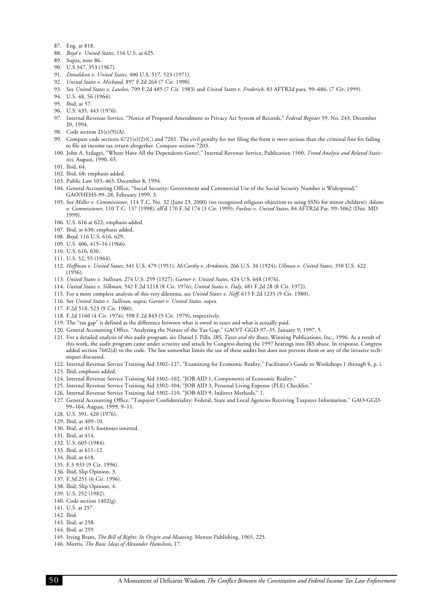- <span id="page-54-0"></span>87. Eng. at 818.
- 88. *Boyd v. United States,* 116 U.S. at 625.
- 89. Supra, note 86.
- 90. U.S 347, 353 (1967).
- 91. *Donaldson v. United States,* 400 U.S. 517, 523 (1971).
- 92. *United States v. Michaud*, 897 F.2d 264 (7 Cir. 1990).
- 93. See *United States v. Lawless,* 709 F.2d 485 (7 Cir. 1983) and *United States v. Frederick*, 83 AFTR2d para. 99-686, (7 Cir. 1999).
- 94. U.S. 48, 56 (1964).
- 95. Ibid, at 57.
- 96. U.S. 435, 443 (1976).
- 97. Internal Revenue Service, "Notice of Proposed Amendment to Privacy Act System of Records," *Federal Register* 59, No. 243, December 20, 1994.
- 98. Code section 21(e)(9)(A).
- 99. Compare code sections 6721(e)(2)(C) and 7201. The civil penalty for not filing the form is *more* serious than the criminal fine for failing to file an income tax return altogether. Compare section 7203.
- 100. John A. Szilagyi, "Where Have All the Dependents Gone?," Internal Revenue Service, Publication 1500, *Trend Analysis and Related Statistics,* August, 1990, 65.
- 101. Ibid, 64.
- 102. Ibid, 68; emphasis added.
- 103. Public Law 103–465, December 8, 1994.
- 104. General Accounting Office, "Social Security: Government and Commercial Use of the Social Security Number is Widespread," GAO/HEHS-99–28, February 1999, 3.
- 105. See *Miller v. Commissioner,* 114 T.C. No. 32 (June 23, 2000) (no recognized religious objection to using SSNs for minor children); *Adams* v. Commissioner, 110 T.C. 137 (1998), aff'd 170 F.3d 174 (3 Cir. 1999); *Furlow v. United States*, 84 AFTR2d Par. 99-5062 (Dist. MD 1999).
- 106. U.S. 616 at 622; emphasis added.
- 107. Ibid, at 630; emphasis added.
- 108. *Boyd,* 116 U.S. 616, 629.
- 109. U.S. 406, 415–16 (1966).
- 110. U.S. 616, 630.
- 111. U.S. 52, 55 (1964).
- 112. *Hoffman v. United States,* 341 U.S. 479 (1951); *McCarthy v. Arndstein,* 266 U.S. 34 (1924); *Ullman v. United States,* 350 U.S. 422  $(1956)$
- 113. *United States v. Sullivan,* 274 U.S. 259 (1927); *Garner v. United States,* 424 U.S. 648 (1976).
- 114. *United States v. Silkman,* 542 F.2d 1218 (8 Cir. 1976); *United States v. Daly,* 481 F.2d 28 (8 Cir. 1972).
- 115. For a more complete analysis of this very dilemma, see *United States v. Neff*, 615 F.2d 1235 (9 Cir. 1980).
- 116. See *United States v. Sullivan,* supra; *Garner v. United States,* supra.
- 117. F.2d 518, 523 (9 Cir. 1980).
- 118. F.2d 1160 (4 Cir. 1974); 598 F.2d 843 (5 Cir. 1979), respectively.
- 119. The "tax gap" is defined as the difference between what is owed in taxes and what is actually paid.
- 120. General Accounting Office, "Analyzing the Nature of the Tax Gap," GAO/T-GGD-97–35, January 9, 1997, 5.
- 121. For a detailed analysis of this audit program, see Daniel J. Pilla, *IRS, Taxes and the Beast,* Winning Publications, Inc., 1996. As a result of this work, the audit program came under scrutiny and attack by Congress during the 1997 hearings into IRS abuse. In response, Congress added section 7602(d) to the code. The law somewhat limits the use of these audits but does not prevent them or any of the invasive techniques discussed.
- 122. Internal Revenue Service Training Aid 3302–127, "Examining for Economic Reality," Facilitator's Guide to Workshops 1 through 6, p. i.

123. Ibid, emphasis added.

- 124. Internal Revenue Service Training Aid 3302–102, "JOB AID 1, Components of Economic Reality."
- 125. Internal Revenue Service Training Aid 3302–104, "JOB AID 3, Personal Living Expense (PLE) Checklist."
- 126. Internal Revenue Service Training Aid 3302–110, "JOB AID 9, Indirect Methods," 1.
- 127. General Accounting Office, "Taxpayer Confidentiality: Federal, State and Local Agencies Receiving Taxpayer Information," GAO-GGD-99–164, August, 1999, 9–11.
- 128. U.S. 391, 420 (1976).
- 129. Ibid, at 409–10.
- 130. Ibid, at 415; footnotes omitted.
- 131. Ibid, at 414.
- 132. U.S. 605 (1984).
- 133. Ibid, at 611–12.
- 134. Ibid, at 618.
- 135. F.3 933 (9 Cir. 1996).
- 136. Ibid, Slip Opinion, 3.
- 137. F.3d 251 (6 Cir. 1996).
- 138. Ibid, Slip Opinion, 4.
- 139. U.S. 252 (1982).
- 140. Code section 1402(g).
- 141. U.S. at 257.
- 142. Ibid.
- 143. Ibid, at 258.

- 145. Irving Brant, *The Bill of Rights: Its Origin and Meaning,* Mentor Publishing, 1965, 225.
- 146. Morris, *The Basic Ideas of Alexander Hamilton,* 17.

<sup>144.</sup> Ibid, at 259.